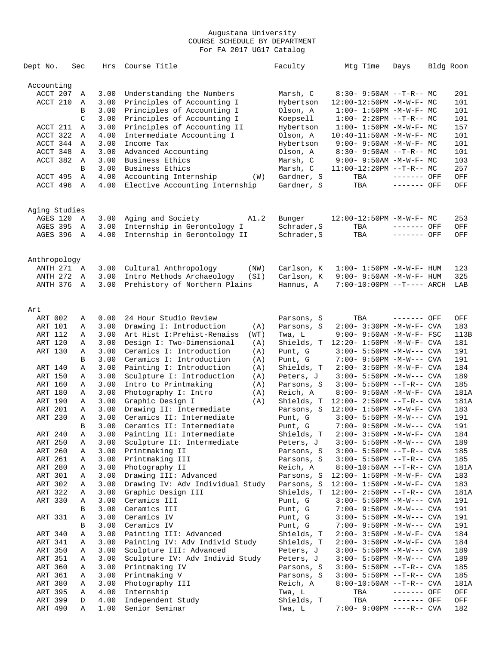| Dept No.           | Sec               | Hrs          | Course Title                                                   | Faculty                  | Mtg Time                                                | Days        | Bldg Room |            |
|--------------------|-------------------|--------------|----------------------------------------------------------------|--------------------------|---------------------------------------------------------|-------------|-----------|------------|
| Accounting         |                   |              |                                                                |                          |                                                         |             |           |            |
| ACCT 207           | Α                 | 3.00         | Understanding the Numbers                                      | Marsh, C                 | $8:30 - 9:50AM -T-R-- MC$                               |             |           | 201        |
| ACCT 210           | Α                 | 3.00         | Principles of Accounting I                                     | Hybertson                | 12:00-12:50PM -M-W-F- MC                                |             |           | 101        |
|                    | B                 | 3.00         | Principles of Accounting I                                     | Olson, A                 | $1:00 - 1:50PM - M - W - F - MC$                        |             |           | 101        |
|                    | $\mathsf{C}$      | 3.00         | Principles of Accounting I                                     | Koepsell                 | $1:00-2:20PM -T-R--MC$                                  |             |           | 101        |
| ACCT 211           | Α                 | 3.00         | Principles of Accounting II                                    | Hybertson                | $1:00 - 1:50PM - M - W - F - MC$                        |             |           | 157        |
| ACCT 322           | Α                 | 4.00         | Intermediate Accounting I                                      | Olson, A                 | 10:40-11:50AM -M-W-F- MC                                |             |           | 101        |
| ACCT 344           | Α                 | 3.00         | Income Tax                                                     | Hybertson                | $9:00 - 9:50AM - M - W - F - MC$                        |             |           | 101        |
| ACCT 348           | Α                 | 3.00         | Advanced Accounting                                            | Olson, A                 | $8:30 - 9:50AM -T-R-- MC$                               |             |           | 101        |
| ACCT 382           | Α                 | 3.00         | Business Ethics                                                | Marsh, C                 | $9:00 - 9:50AM - M - W - F - MC$                        |             |           | 103        |
| ACCT 495           | В                 | 3.00<br>4.00 | Business Ethics                                                | Marsh, C<br>Gardner, S   | $11:00-12:20PM -T-R-- MC$                               | ------- OFF |           | 257        |
| ACCT 496           | Α<br>$\mathbb{A}$ | 4.00         | Accounting Internship<br>(W)<br>Elective Accounting Internship | Gardner, S               | TBA<br>TBA                                              | ------- OFF |           | OFF<br>OFF |
|                    |                   |              |                                                                |                          |                                                         |             |           |            |
| Aging Studies      |                   |              |                                                                |                          |                                                         |             |           |            |
| AGES 120           | A                 | 3.00         | Aging and Society<br>A1.2                                      | Bunger                   | $12:00-12:50PM -M-W-F-MC$                               |             |           | 253        |
| AGES 395           | Α                 | 3.00         | Internship in Gerontology I                                    | Schrader, S              | TBA                                                     | ------- OFF |           | OFF        |
| AGES 396           | A                 | 4.00         | Internship in Gerontology II                                   | Schrader, S              | TBA                                                     | ------- OFF |           | OFF        |
| Anthropology       |                   |              |                                                                |                          |                                                         |             |           |            |
| ANTH 271 A         |                   | 3.00         | Cultural Anthropology<br>(NW)                                  | Carlson, K               | $1:00 - 1:50PM - M - W - F - HUM$                       |             |           | 123        |
| <b>ANTH 272</b>    | A                 | 3.00         | Intro Methods Archaeology<br>(SI)                              | Carlson, K               | $9:00 - 9:50AM - M - W - F - HUM$                       |             |           | 325        |
| ANTH 376           | $\mathbb{A}$      | 3.00         | Prehistory of Northern Plains                                  | Hannus, A                | $7:00-10:00PM$ --T---- ARCH                             |             |           | LAB        |
|                    |                   |              |                                                                |                          |                                                         |             |           |            |
| Art                |                   |              |                                                                |                          |                                                         |             |           |            |
| ART 002<br>ART 101 | Α                 | 0.00<br>3.00 | 24 Hour Studio Review<br>Drawing I: Introduction               | Parsons, S<br>Parsons, S | TBA<br>$2:00 - 3:30PM - M - W - F - CVA$                | ------- OFF |           | OFF<br>183 |
| ART 112            | Α<br>Α            | 3.00         | (A)<br>Art Hist I: Prehist-Renaiss<br>(WT)                     | Twa, L                   | 9:00- 9:50AM -M-W-F- FSC                                |             |           | 113B       |
| ART 120            | Α                 | 3.00         | Design I: Two-Dimensional<br>(A)                               | Shields, T               | $12:20 - 1:50PM - M - W - F - CVA$                      |             |           | 181        |
| ART 130            | Α                 | 3.00         | Ceramics I: Introduction<br>(A)                                | Punt, G                  | $3:00 - 5:50PM -M-W---$ CVA                             |             |           | 191        |
|                    | B                 | 3.00         | Ceramics I: Introduction<br>(A)                                | Punt, G                  | $7:00 - 9:50PM -M-W---$ CVA                             |             |           | 191        |
| ART 140            | Α                 | 3.00         | Painting I: Introduction<br>(A)                                | Shields, T               | $2:00-3:50PM -M-W-F-CVA$                                |             |           | 184        |
| ART 150            | Α                 | 3.00         | Sculpture I: Introduction<br>(A)                               | Peters, J                | 3:00- 5:50PM -M-W--- CVA                                |             |           | 189        |
| ART 160            | Α                 | 3.00         | Intro to Printmaking<br>(A)                                    | Parsons, S               | 3:00- 5:50PM --T-R-- CVA                                |             |           | 185        |
| ART 180            | Α                 | 3.00         | Photography I: Intro<br>(A)                                    | Reich, A                 | 8:00- 9:50AM -M-W-F- CVA                                |             |           | 181A       |
| ART 190            | Α                 | 3.00         | Graphic Design I<br>(A)                                        | Shields, T               | $12:00 - 2:50PM -T-R--CVA$                              |             |           | 181A       |
| ART 201            | Α                 | 3.00         | Drawing II: Intermediate                                       | Parsons, S               | 12:00- 1:50PM -M-W-F- CVA                               |             |           | 183        |
| ART 230            | Α                 | 3.00         | Ceramics II: Intermediate                                      | Punt, G                  | $3:00 - 5:50PM -M-W---$ CVA                             |             |           | 191        |
|                    | B                 | 3.00         | Ceramics II: Intermediate                                      | Punt, G                  | $7:00 - 9:50PM -M-W---$ CVA                             |             |           | 191        |
| ART 240            | Α                 | 3.00         | Painting II: Intermediate                                      | Shields, T               | $2:00 - 3:50PM - M - W - F - CVA$                       |             |           | 184        |
| ART 250            | Α                 | 3.00         | Sculpture II: Intermediate                                     | Peters, J                | $3:00 - 5:50PM -M-W---$ CVA                             |             |           | 189        |
| ART 260            | Α                 | 3.00         | Printmaking II                                                 | Parsons, S               | $3:00 - 5:50PM -T-R--CVA$                               |             |           | 185        |
| ART 261            | Α                 | 3.00         | Printmaking III                                                | Parsons, S               | $3:00 - 5:50PM -T-R--CVA$                               |             |           | 185        |
| ART 280            | Α                 | 3.00         | Photography II                                                 | Reich, A                 | 8:00-10:50AM --T-R-- CVA                                |             |           | 181A       |
| ART 301            | Α                 | 3.00         | Drawing III: Advanced                                          | Parsons, S               | 12:00- 1:50PM -M-W-F- CVA                               |             |           | 183        |
| ART 302            | Α                 | 3.00         | Drawing IV: Adv Individual Study                               | Parsons, S               | $12:00 - 1:50PM - M - W - F - CVA$                      |             |           | 183        |
| ART 322<br>ART 330 | Α                 | 3.00         | Graphic Design III                                             | Shields, T               | $12:00 - 2:50PM -T-R--CVA$                              |             |           | 181A       |
|                    | Α<br>В            | 3.00<br>3.00 | Ceramics III<br>Ceramics III                                   | Punt, G                  | $3:00 - 5:50PM -M-W---$ CVA                             |             |           | 191<br>191 |
|                    |                   |              |                                                                | Punt, G                  | $7:00-9:50PM -M-W---$ CVA                               |             |           |            |
| ART 331            | Α<br>В            | 3.00<br>3.00 | Ceramics IV<br>Ceramics IV                                     | Punt, G<br>Punt, G       | 3:00- 5:50PM -M-W--- CVA<br>$7:00 - 9:50PM -M-W---$ CVA |             |           | 191<br>191 |
| ART 340            | Α                 | 3.00         | Painting III: Advanced                                         | Shields, T               | $2:00 - 3:50PM - M - W - F - CVA$                       |             |           | 184        |
| ART 341            | Α                 | 3.00         | Painting IV: Adv Individ Study                                 | Shields, T               | 2:00- 3:50PM -M-W-F- CVA                                |             |           | 184        |
| ART 350            | Α                 | 3.00         | Sculpture III: Advanced                                        | Peters, J                | 3:00- 5:50PM -M-W--- CVA                                |             |           | 189        |
| ART 351            | Α                 | 3.00         | Sculpture IV: Adv Individ Study                                | Peters, J                | 3:00- 5:50PM -M-W--- CVA                                |             |           | 189        |
| ART 360            | Α                 | 3.00         | Printmaking IV                                                 | Parsons, S               | 3:00- 5:50PM --T-R-- CVA                                |             |           | 185        |
| ART 361            | Α                 | 3.00         | Printmaking V                                                  | Parsons, S               | 3:00- 5:50PM --T-R-- CVA                                |             |           | 185        |
| ART 380            | Α                 | 3.00         | Photography III                                                | Reich, A                 | 8:00-10:50AM --T-R-- CVA                                |             |           | 181A       |
| ART 395            | Α                 | 4.00         | Internship                                                     | Twa, L                   | TBA                                                     | ------- OFF |           | OFF        |
| ART 399            | D                 | 4.00         | Independent Study                                              | Shields, T               | TBA                                                     | ------- OFF |           | OFF        |
| ART 490            | Α                 | 1.00         | Senior Seminar                                                 | Twa, L                   | 7:00- 9:00PM ----R-- CVA                                |             |           | 182        |
|                    |                   |              |                                                                |                          |                                                         |             |           |            |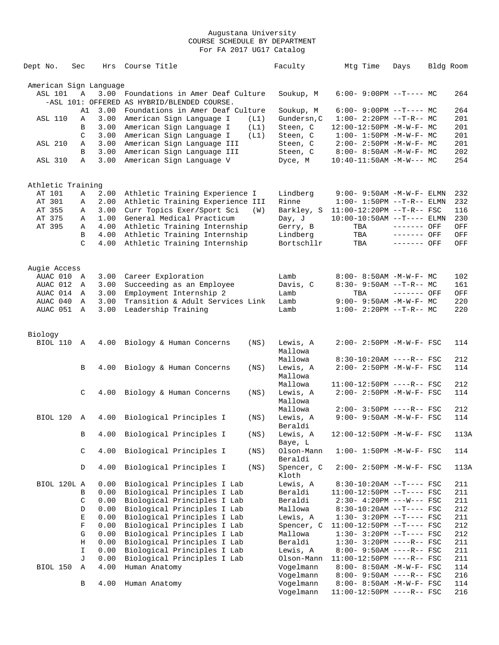| Dept No.               | Sec                 | Hrs          | Course Title                                | Faculty               | Mtg Time                                          | Days        | Bldg Room |            |
|------------------------|---------------------|--------------|---------------------------------------------|-----------------------|---------------------------------------------------|-------------|-----------|------------|
| American Sign Language |                     |              |                                             |                       |                                                   |             |           |            |
| <b>ASL 101</b>         | $\mathbb A$         | 3.00         | Foundations in Amer Deaf Culture            | Soukup, M             | $6:00-9:00PM$ --T---- MC                          |             |           | 264        |
|                        |                     |              | -ASL 101: OFFERED AS HYBRID/BLENDED COURSE. |                       |                                                   |             |           |            |
|                        | A1                  | 3.00         | Foundations in Amer Deaf Culture            | Soukup, M             | $6:00-9:00PM$ --T---- MC                          |             |           | 264        |
| <b>ASL 110</b>         | Α                   | 3.00         | American Sign Language I<br>(L1)            | Gundersn, C           | $1:00-2:20PM -T-R--MC$                            |             |           | 201        |
|                        | B                   | 3.00         | American Sign Language I<br>(L1)            | Steen, C              | 12:00-12:50PM -M-W-F- MC                          |             |           | 201        |
|                        | C                   | 3.00         | American Sign Language I<br>(L1)            | Steen, C              | $1:00 - 1:50PM - M - W - F - MC$                  |             |           | 201        |
| <b>ASL 210</b>         | Α                   | 3.00         | American Sign Language III                  | Steen, C              | $2:00 - 2:50PM - M - W - F - MC$                  |             |           | 201        |
|                        | B                   | 3.00         | American Sign Language III                  | Steen, C              | $8:00 - 8:50AM - M - W - F - MC$                  |             |           | 202        |
| <b>ASL 310</b>         | Α                   | 3.00         | American Sign Language V                    | Dyce, M               | $10:40-11:50AM$ -M-W--- MC                        |             |           | 254        |
| Athletic Training      |                     |              |                                             |                       |                                                   |             |           |            |
| AT 101                 | Α                   | 2.00         | Athletic Training Experience I              | Lindberg              | $9:00 - 9:50AM - M - W - F - ELMN$                |             |           | 232        |
| AT 301                 | Α                   | 2.00         | Athletic Training Experience III            | Rinne                 | $1:00 - 1:50PM -T-R-- ELMN$                       |             |           | 232        |
| AT 355                 | Α                   | 3.00         | Curr Topics Exer/Sport Sci<br>(W)           | Barkley, S            | $11:00-12:20PM$ --T-R-- FSC                       |             |           | 116        |
| AT 375                 | Α                   | 1.00         | General Medical Practicum                   | Day, J                | $10:00-10:50AM$ --T---- ELMN                      |             |           | 230        |
| AT 395                 | Α                   | 4.00         | Athletic Training Internship                | Gerry, B              | TBA                                               | ------- OFF |           | OFF        |
|                        | В                   | 4.00         | Athletic Training Internship                | Lindberg              | TBA                                               | ------- OFF |           | OFF        |
|                        | $\mathcal{C}$       | 4.00         | Athletic Training Internship                | Bortschllr            | TBA                                               | ------- OFF |           | OFF        |
|                        |                     |              |                                             |                       |                                                   |             |           |            |
| Augie Access           |                     |              |                                             |                       |                                                   |             |           |            |
| AUAC 010               | A                   | 3.00         | Career Exploration                          | Lamb                  | $8:00 - 8:50AM - M - W - F - MC$                  |             |           | 102        |
| AUAC 012               | Α                   | 3.00         | Succeeding as an Employee                   | Davis, C              | $8:30 - 9:50AM$ --T-R-- MC                        | ------- OFF |           | 161        |
| AUAC 014               | Α                   | 3.00         | Employment Internship 2                     | Lamb                  | TBA                                               |             |           | OFF        |
| AUAC 040<br>AUAC 051   | Α<br>$\overline{A}$ | 3.00<br>3.00 | Transition & Adult Services Link            | Lamb<br>Lamb          | $9:00-9:50AM -M-W-F-MC$<br>$1:00-2:20PM -T-R--MC$ |             |           | 220<br>220 |
|                        |                     |              | Leadership Training                         |                       |                                                   |             |           |            |
| Biology                |                     |              |                                             |                       |                                                   |             |           |            |
| BIOL 110               | $\mathbb{A}$        | 4.00         | Biology & Human Concerns<br>(NS)            | Lewis, A              | 2:00- 2:50PM -M-W-F- FSC                          |             |           | 114        |
|                        |                     |              |                                             | Mallowa               |                                                   |             |           |            |
|                        |                     |              |                                             | Mallowa               | $8:30-10:20AM$ ----R-- FSC                        |             |           | 212        |
|                        | B                   | 4.00         | Biology & Human Concerns<br>(NS)            | Lewis, A              | 2:00- 2:50PM -M-W-F- FSC                          |             |           | 114        |
|                        |                     |              |                                             | Mallowa               |                                                   |             |           |            |
|                        |                     |              |                                             | Mallowa               | 11:00-12:50PM ----R-- FSC                         |             |           | 212        |
|                        | C                   | 4.00         | Biology & Human Concerns<br>(NS)            | Lewis, A              | 2:00- 2:50PM -M-W-F- FSC                          |             |           | 114        |
|                        |                     |              |                                             | Mallowa               |                                                   |             |           |            |
|                        |                     |              |                                             | Mallowa               | $2:00 - 3:50PM$ ----R-- FSC                       |             |           | 212        |
| BIOL 120               | Α                   |              | 4.00 Biological Principles I<br>(NS)        | Lewis, A              | $9:00 - 9:50AM - M - W - F - FSC$                 |             |           | 114        |
|                        |                     |              |                                             | Beraldi               |                                                   |             |           |            |
|                        | В                   | 4.00         | Biological Principles I<br>(NS)             | Lewis, A              | 12:00-12:50PM -M-W-F- FSC                         |             |           | 113A       |
|                        |                     |              |                                             | Baye, L               |                                                   |             |           |            |
|                        | $\mathsf C$         | 4.00         | Biological Principles I<br>(NS)             | Olson-Mann            | $1:00 - 1:50PM -M-W-F - FSC$                      |             |           | 114        |
|                        | D                   | 4.00         | Biological Principles I<br>(NS)             | Beraldi<br>Spencer, C | 2:00- 2:50PM -M-W-F- FSC                          |             |           | 113A       |
|                        |                     |              |                                             | Kloth                 |                                                   |             |           |            |
| BIOL 120L A            |                     | 0.00         | Biological Principles I Lab                 | Lewis, A              | 8:30-10:20AM --T---- FSC                          |             |           | 211        |
|                        | В                   | 0.00         | Biological Principles I Lab                 | Beraldi               | 11:00-12:50PM --T---- FSC                         |             |           | 211        |
|                        | $\mathsf C$         | 0.00         | Biological Principles I Lab                 | Beraldi               | 2:30- 4:20PM ---W--- FSC                          |             |           | 211        |
|                        | D                   | 0.00         | Biological Principles I Lab                 | Mallowa               | $8:30-10:20AM$ --T---- FSC                        |             |           | 212        |
|                        | $\mathbf E$         | 0.00         | Biological Principles I Lab                 | Lewis, A              | $1:30-3:20PM --T---FSC$                           |             |           | 211        |
|                        | $\mathbf F$         | 0.00         | Biological Principles I Lab                 | Spencer, C            | $11:00-12:50PM$ --T---- FSC                       |             |           | 212        |
|                        | G                   | 0.00         | Biological Principles I Lab                 | Mallowa               | $1:30-3:20PM --T---FSC$                           |             |           | 212        |
|                        | Η                   | 0.00         | Biological Principles I Lab                 | Beraldi               | $1:30 - 3:20PM$ ----R-- FSC                       |             |           | 211        |
|                        | I                   | 0.00         | Biological Principles I Lab                 | Lewis, A              | $8:00 - 9:50AM$ ----R-- FSC                       |             |           | 211        |
|                        | J                   | 0.00         | Biological Principles I Lab                 | Olson-Mann            | 11:00-12:50PM ----R-- FSC                         |             |           | 211        |
| BIOL 150               | Α                   | 4.00         | Human Anatomy                               | Vogelmann             | 8:00- 8:50AM -M-W-F- FSC                          |             |           | 114        |
|                        |                     |              |                                             | Vogelmann             | $8:00 - 9:50AM$ ----R-- FSC                       |             |           | 216        |
|                        | В                   | 4.00         | Human Anatomy                               | Vogelmann             | 8:00- 8:50AM -M-W-F- FSC                          |             |           | 114        |
|                        |                     |              |                                             | Vogelmann             | 11:00-12:50PM ----R-- FSC                         |             |           | 216        |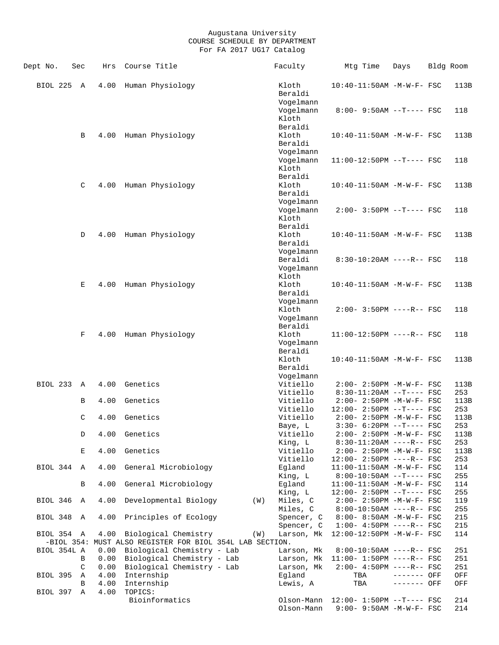| Dept No.        | Sec            | Hrs  | Course Title                                             | Faculty                         | Mtg Time                                               | Days         | Bldg Room   |
|-----------------|----------------|------|----------------------------------------------------------|---------------------------------|--------------------------------------------------------|--------------|-------------|
| BIOL 225        | $\overline{A}$ | 4.00 | Human Physiology                                         | Kloth<br>Beraldi                | 10:40-11:50AM -M-W-F- FSC                              |              | 113B        |
|                 |                |      |                                                          | Vogelmann                       |                                                        |              |             |
|                 |                |      |                                                          | Vogelmann                       | $8:00 - 9:50AM -T--- FSC$                              |              | 118         |
|                 |                |      |                                                          | Kloth<br>Beraldi                |                                                        |              |             |
|                 | В              | 4.00 | Human Physiology                                         | Kloth                           | 10:40-11:50AM -M-W-F- FSC                              |              | 113B        |
|                 |                |      |                                                          | Beraldi                         |                                                        |              |             |
|                 |                |      |                                                          | Vogelmann                       |                                                        |              |             |
|                 |                |      |                                                          | Vogelmann                       | $11:00-12:50PM$ --T---- FSC                            |              | 118         |
|                 |                |      |                                                          | Kloth                           |                                                        |              |             |
|                 |                |      |                                                          | Beraldi                         |                                                        |              |             |
|                 | C              | 4.00 | Human Physiology                                         | Kloth                           | 10:40-11:50AM -M-W-F- FSC                              |              | 113B        |
|                 |                |      |                                                          | Beraldi                         |                                                        |              |             |
|                 |                |      |                                                          | Vogelmann                       |                                                        |              |             |
|                 |                |      |                                                          | Vogelmann                       | $2:00-3:50PM$ --T---- FSC                              |              | 118         |
|                 |                |      |                                                          | Kloth<br>Beraldi                |                                                        |              |             |
|                 | D              |      | 4.00 Human Physiology                                    | Kloth                           | 10:40-11:50AM -M-W-F- FSC                              |              | 113B        |
|                 |                |      |                                                          | Beraldi                         |                                                        |              |             |
|                 |                |      |                                                          | Vogelmann                       |                                                        |              |             |
|                 |                |      |                                                          | Beraldi                         | $8:30-10:20AM$ ----R-- FSC                             |              | 118         |
|                 |                |      |                                                          | Vogelmann                       |                                                        |              |             |
|                 |                |      |                                                          | Kloth                           |                                                        |              |             |
|                 | Е              |      | 4.00 Human Physiology                                    | Kloth                           | 10:40-11:50AM -M-W-F- FSC                              |              | 113B        |
|                 |                |      |                                                          | Beraldi                         |                                                        |              |             |
|                 |                |      |                                                          | Vogelmann                       |                                                        |              |             |
|                 |                |      |                                                          | Kloth                           | $2:00 - 3:50PM$ ----R-- FSC                            |              | 118         |
|                 |                |      |                                                          | Vogelmann<br>Beraldi            |                                                        |              |             |
|                 | F              |      | 4.00 Human Physiology                                    | Kloth                           | $11:00-12:50PM$ ----R-- FSC                            |              | 118         |
|                 |                |      |                                                          | Vogelmann                       |                                                        |              |             |
|                 |                |      |                                                          | Beraldi                         |                                                        |              |             |
|                 |                |      |                                                          | Kloth                           | 10:40-11:50AM -M-W-F- FSC                              |              | 113B        |
|                 |                |      |                                                          | Beraldi                         |                                                        |              |             |
|                 |                |      |                                                          | Vogelmann                       |                                                        |              |             |
| <b>BIOL 233</b> | A              | 4.00 | Genetics                                                 | Vitiello                        | $2:00 - 2:50PM - M - W - F - FSC$                      |              | 113B        |
|                 |                |      |                                                          | Vitiello                        | $8:30-11:20AM$ --T---- FSC                             |              | 253         |
|                 | В              | 4.00 | Genetics                                                 | Vitiello                        | 2:00- 2:50PM -M-W-F- FSC                               |              | 113B        |
|                 |                |      |                                                          | Vitiello<br>Vitiello            | 12:00- 2:50PM --T---- FSC                              |              | 253         |
|                 | C              | 4.00 | Genetics                                                 |                                 | $2:00 - 2:50PM -M-W-F - FSC$<br>$3:30-6:20PM -T---FSC$ |              | 113B<br>253 |
|                 | D              | 4.00 | Genetics                                                 | Baye, L<br>Vitiello             | 2:00- 2:50PM -M-W-F- FSC                               |              | 113B        |
|                 |                |      |                                                          | King, L                         | 8:30-11:20AM ----R-- FSC                               |              | 253         |
|                 | Е              | 4.00 | Genetics                                                 | Vitiello                        | $2:00 - 2:50PM - M - W - F - FSC$                      |              | 113B        |
|                 |                |      |                                                          | Vitiello                        | $12:00 - 2:50PM$ ----R-- FSC                           |              | 253         |
| BIOL 344 A      |                |      | 4.00 General Microbiology                                | Egland                          | $11:00-11:50AM$ -M-W-F- FSC                            |              | 114         |
|                 |                |      |                                                          | King, L                         | 8:00-10:50AM --T---- FSC                               |              | 255         |
|                 | B              | 4.00 | General Microbiology                                     | Egland                          | 11:00-11:50AM -M-W-F- FSC                              |              | 114         |
|                 |                |      |                                                          | King, L                         | $12:00 - 2:50PM -T--- FSC$                             |              | 255         |
| BIOL 346 A      |                | 4.00 | Developmental Biology                                    | Miles, C<br>(W)                 | 2:00- 2:50PM -M-W-F- FSC                               |              | 119         |
|                 |                |      |                                                          | Miles, C                        | $8:00-10:50AM$ ----R-- FSC                             |              | 255         |
| BIOL 348 A      |                | 4.00 | Principles of Ecology                                    | Spencer, C                      | $8:00 - 8:50AM$ -M-W-F- FSC                            |              | 215         |
| BIOL 354 A      |                | 4.00 | Biological Chemistry                                     | Spencer, C<br>(W)<br>Larson, Mk | $1:00-4:50PM$ ----R-- FSC<br>12:00-12:50PM -M-W-F- FSC |              | 215<br>114  |
|                 |                |      | -BIOL 354: MUST ALSO REGISTER FOR BIOL 354L LAB SECTION. |                                 |                                                        |              |             |
| BIOL 354L A     |                | 0.00 | Biological Chemistry - Lab                               | Larson, Mk                      | $8:00-10:50AM$ ----R-- FSC                             |              | 251         |
|                 | В              |      | 0.00 Biological Chemistry - Lab                          | Larson, Mk                      | 11:00- 1:50PM ----R-- FSC                              |              | 251         |
|                 | C              | 0.00 | Biological Chemistry - Lab                               | Larson, Mk                      | $2:00-4:50PM$ ----R-- FSC                              |              | 251         |
| BIOL 395 A      |                | 4.00 | Internship                                               | Eqland                          | TBA                                                    | $------$ OFF | OFF         |
|                 | B              | 4.00 | Internship                                               | Lewis, A                        | TBA                                                    | ------- OFF  | OFF         |
| BIOL 397 A      |                | 4.00 | TOPICS:                                                  |                                 |                                                        |              |             |
|                 |                |      | Bioinformatics                                           |                                 | Olson-Mann $12:00-1:50PM$ --T---- FSC                  |              | 214         |
|                 |                |      |                                                          | Olson-Mann                      | 9:00- 9:50AM -M-W-F- FSC                               |              | 214         |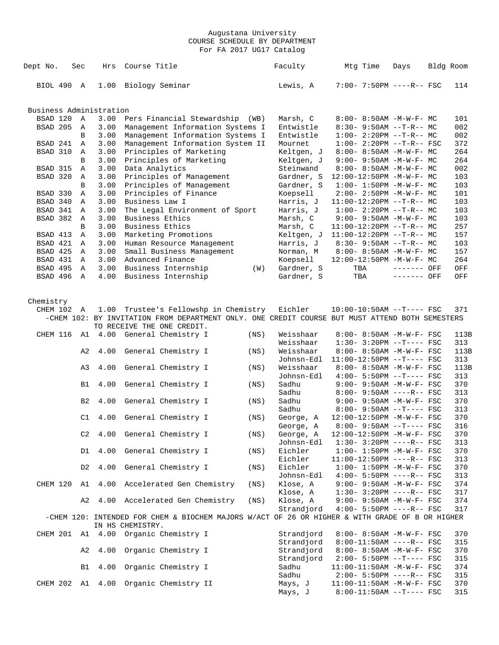| Dept No.                | Sec            | Hrs                     | Course Title                                                                                    |      | Faculty    |     | Mtg Time | Days                              | Bldg Room |
|-------------------------|----------------|-------------------------|-------------------------------------------------------------------------------------------------|------|------------|-----|----------|-----------------------------------|-----------|
| BIOL 490 A              |                | 1.00                    | Biology Seminar                                                                                 |      | Lewis, A   |     |          | $7:00 - 7:50PM$ ----R-- FSC       | 114       |
|                         |                | Business Administration |                                                                                                 |      |            |     |          |                                   |           |
| BSAD 120                | $\mathbb{A}$   | 3.00                    | Pers Financial Stewardship (WB)                                                                 |      | Marsh, C   |     |          | $8:00 - 8:50AM - M - W - F - MC$  | 101       |
| BSAD 205                | A              | 3.00                    | Management Information Systems I                                                                |      | Entwistle  |     |          | $8:30-9:50AM --T-R--MC$           | 002       |
|                         | B              | 3.00                    | Management Information Systems I                                                                |      | Entwistle  |     |          | $1:00-2:20PM -T-R--MC$            | 002       |
| BSAD 241                | $\mathbb{A}$   | 3.00                    | Management Information System II                                                                |      | Mournet    |     |          | $1:00 - 2:20PM -T-R--FSC$         | 372       |
| BSAD 310                | Α              | 3.00                    | Principles of Marketing                                                                         |      | Keltgen, J |     |          | $8:00 - 8:50AM - M - W - F - MC$  | 264       |
|                         | B              | 3.00                    | Principles of Marketing                                                                         |      | Keltgen, J |     |          | $9:00 - 9:50AM - M - W - F - MC$  | 264       |
| BSAD 315                | Α              | 3.00                    | Data Analytics                                                                                  |      | Steinwand  |     |          | $8:00 - 8:50AM - M - W - F - MC$  | 002       |
| BSAD 320                | Α              | 3.00                    | Principles of Management                                                                        |      | Gardner, S |     |          | 12:00-12:50PM -M-W-F- MC          | 103       |
|                         | B              | 3.00                    | Principles of Management                                                                        |      | Gardner, S |     |          |                                   | 103       |
|                         |                |                         |                                                                                                 |      |            |     |          | $1:00 - 1:50PM - M - W - F - MC$  |           |
| BSAD 330                | Α              | 3.00                    | Principles of Finance                                                                           |      | Koepsell   |     |          | $2:00 - 2:50PM -M-W-F - MC$       | 101       |
| BSAD 340                | A              | 3.00                    | Business Law I                                                                                  |      | Harris, J  |     |          | $11:00-12:20PM$ --T-R-- MC        | 103       |
| BSAD 341                | A              | 3.00                    | The Legal Environment of Sport                                                                  |      | Harris, J  |     |          | $1:00-2:20PM -T-R--MC$            | 103       |
| BSAD 382                | Α              | 3.00                    | Business Ethics                                                                                 |      | Marsh, C   |     |          | $9:00 - 9:50AM - M-W-F - MC$      | 103       |
|                         | B              | 3.00                    | Business Ethics                                                                                 |      | Marsh, C   |     |          | $11:00-12:20PM$ --T-R-- MC        | 257       |
| BSAD 413                | Α              | 3.00                    | Marketing Promotions                                                                            |      | Keltgen, J |     |          | $11:00-12:20PM$ --T-R-- MC        | 157       |
| BSAD 421                | Α              | 3.00                    | Human Resource Management                                                                       |      | Harris, J  |     |          | $8:30 - 9:50AM -T-R--MC$          | 103       |
| BSAD 425                | Α              | 3.00                    | Small Business Management                                                                       |      | Norman, M  |     |          | 8:00- 8:50AM -M-W-F- MC           | 157       |
| BSAD 431                | A              | 3.00                    | Advanced Finance                                                                                |      | Koepsell   |     |          | 12:00-12:50PM -M-W-F- MC          | 264       |
| BSAD 495                | Α              | 3.00                    | Business Internship                                                                             | (W)  | Gardner, S | TBA |          | ------- OFF                       | OFF       |
| BSAD 496                | $\mathbb A$    | 4.00                    | Business Internship                                                                             |      | Gardner, S | TBA |          | ------- OFF                       | OFF       |
|                         |                |                         |                                                                                                 |      |            |     |          |                                   |           |
| Chemistry<br>CHEM 102 A |                | 1.00                    | Trustee's Fellowshp in Chemistry                                                                |      | Eichler    |     |          | $10:00-10:50AM$ --T---- FSC       | 371       |
|                         |                |                         | -CHEM 102: BY INVITATION FROM DEPARTMENT ONLY. ONE CREDIT COURSE BUT MUST ATTEND BOTH SEMESTERS |      |            |     |          |                                   |           |
|                         |                |                         | TO RECEIVE THE ONE CREDIT.                                                                      |      |            |     |          |                                   |           |
| CHEM 116                |                |                         | Al 4.00 General Chemistry I                                                                     | (NS) | Weisshaar  |     |          | 8:00- 8:50AM -M-W-F- FSC          | 113B      |
|                         |                |                         |                                                                                                 |      | Weisshaar  |     |          | $1:30-3:20PM -T---FSC$            | 313       |
|                         |                |                         |                                                                                                 |      | Weisshaar  |     |          | $8:00-8:50AM -M-W-F-FSC$          | 113B      |
|                         | A2             | 4.00                    | General Chemistry I                                                                             | (NS) |            |     |          |                                   |           |
|                         |                |                         |                                                                                                 |      | Johnsn-Edl |     |          | $11:00-12:50PM$ --T---- FSC       | 313       |
|                         | A3             | 4.00                    | General Chemistry I                                                                             | (NS) | Weisshaar  |     |          | 8:00- 8:50AM -M-W-F- FSC          | 113B      |
|                         |                |                         |                                                                                                 |      | Johnsn-Edl |     |          | $4:00 - 5:50PM -T--- FSC$         | 313       |
|                         | B1             | 4.00                    | General Chemistry I                                                                             | (NS) | Sadhu      |     |          | 9:00- 9:50AM -M-W-F- FSC          | 370       |
|                         |                |                         |                                                                                                 |      | Sadhu      |     |          | $8:00-9:50AM$ ----R-- FSC         | 313       |
|                         | B <sub>2</sub> | 4.00                    | General Chemistry I                                                                             | (NS) | Sadhu      |     |          | $9:00 - 9:50AM - M-W-F - FSC$     | 370       |
|                         |                |                         |                                                                                                 |      | Sadhu      |     |          | $8:00 - 9:50AM -T--- FSC$         | 313       |
|                         | C1             | 4.00                    | General Chemistry I                                                                             | (NS) | George, A  |     |          | 12:00-12:50PM -M-W-F- FSC         | 370       |
|                         |                |                         |                                                                                                 |      | George, A  |     |          | $8:00 - 9:50AM$ --T---- FSC       | 316       |
|                         | C2             | 4.00                    | General Chemistry I                                                                             | (NS) | George, A  |     |          | 12:00-12:50PM -M-W-F- FSC         | 370       |
|                         |                |                         |                                                                                                 |      | Johnsn-Edl |     |          | $1:30-3:20PM$ ----R-- FSC         | 313       |
|                         | D1             | 4.00                    | General Chemistry I                                                                             | (NS) | Eichler    |     |          | $1:00 - 1:50PM - M - W - F - FSC$ | 370       |
|                         |                |                         |                                                                                                 |      | Eichler    |     |          | $11:00-12:50PM$ ----R-- FSC       | 313       |
|                         | D2             | 4.00                    | General Chemistry I                                                                             | (NS) | Eichler    |     |          | $1:00 - 1:50PM - M - W - F - FSC$ | 370       |
|                         |                |                         |                                                                                                 |      | Johnsn-Edl |     |          | $4:00 - 5:50PM$ ----R-- FSC       | 313       |
|                         |                | CHEM 120 A1 4.00        | Accelerated Gen Chemistry                                                                       | (NS) | Klose, A   |     |          | $9:00 - 9:50AM - M - W - F - FSC$ | 374       |
|                         |                |                         |                                                                                                 |      | Klose, A   |     |          | $1:30-3:20PM$ ----R-- FSC         | 317       |
|                         | A2             |                         | 4.00 Accelerated Gen Chemistry                                                                  | (NS) | Klose, A   |     |          | $9:00 - 9:50AM - M - W - F - FSC$ | 374       |
|                         |                |                         |                                                                                                 |      | Strandjord |     |          | $4:00 - 5:50PM$ ----R-- FSC       | 317       |
|                         |                |                         | -CHEM 120: INTENDED FOR CHEM & BIOCHEM MAJORS W/ACT OF 26 OR HIGHER & WITH GRADE OF B OR HIGHER |      |            |     |          |                                   |           |
|                         |                |                         | IN HS CHEMISTRY.                                                                                |      |            |     |          |                                   |           |
|                         |                |                         | CHEM 201 A1 4.00 Organic Chemistry I                                                            |      | Strandjord |     |          | 8:00- 8:50AM -M-W-F- FSC          | 370       |
|                         |                |                         |                                                                                                 |      | Strandjord |     |          | $8:00-11:50AM$ ----R-- FSC        | 315       |
|                         | A2             | 4.00                    | Organic Chemistry I                                                                             |      | Strandjord |     |          | 8:00- 8:50AM -M-W-F- FSC          | 370       |
|                         |                |                         |                                                                                                 |      | Strandjord |     |          | $2:00 - 5:50PM -T--- FSC$         | 315       |
|                         | B1             | 4.00                    | Organic Chemistry I                                                                             |      | Sadhu      |     |          | $11:00-11:50AM$ -M-W-F- FSC       | 374       |
|                         |                |                         |                                                                                                 |      | Sadhu      |     |          | $2:00 - 5:50PM$ ----R-- FSC       | 315       |
|                         |                |                         | CHEM 202 A1 4.00 Organic Chemistry II                                                           |      |            |     |          |                                   |           |
|                         |                |                         |                                                                                                 |      | Mays, J    |     |          | $11:00-11:50AM$ -M-W-F- FSC       | 370       |
|                         |                |                         |                                                                                                 |      | Mays, J    |     |          | 8:00-11:50AM --T---- FSC          | 315       |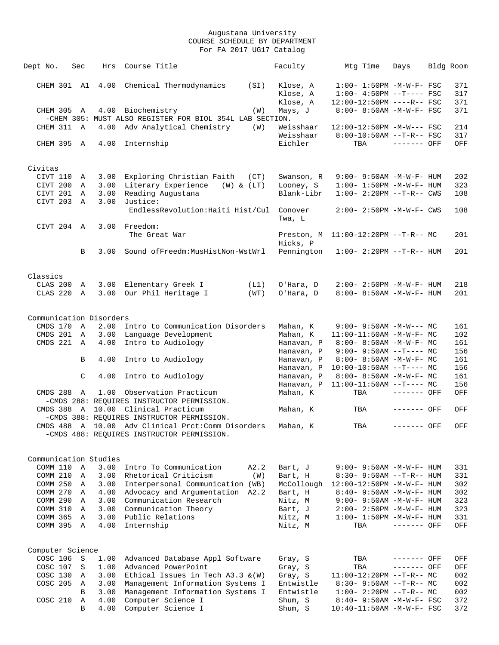| Dept No.               | Sec            | Hrs                     | Course Title                                             | Faculty                | Mtg Time                          | Days                        | Bldg Room  |
|------------------------|----------------|-------------------------|----------------------------------------------------------|------------------------|-----------------------------------|-----------------------------|------------|
|                        |                |                         |                                                          |                        |                                   |                             |            |
| CHEM 301 A1            |                | 4.00                    | Chemical Thermodynamics<br>(SI)                          | Klose, A               | $1:00-1:50PM -M-W-F-FSC$          |                             | 371        |
|                        |                |                         |                                                          | Klose, A               | $1:00-4:50PM --T---FSC$           |                             | 317        |
|                        |                |                         |                                                          | Klose, A               | 12:00-12:50PM ----R-- FSC         |                             | 371        |
| CHEM 305 A             |                |                         | 4.00 Biochemistry<br>(W)                                 | Mays, J                | 8:00- 8:50AM -M-W-F- FSC          |                             | 371        |
|                        |                |                         | -CHEM 305: MUST ALSO REGISTER FOR BIOL 354L LAB SECTION. |                        |                                   |                             |            |
| CHEM 311 A             |                | 4.00                    | Adv Analytical Chemistry<br>(W)                          | Weisshaar              | 12:00-12:50PM -M-W--- FSC         |                             | 214        |
|                        |                |                         |                                                          | Weisshaar              | $8:00-10:50AM$ --T-R-- FSC        |                             | 317        |
| CHEM 395 A             |                | 4.00                    | Internship                                               | Eichler                | TBA                               | $------$ OFF                | OFF        |
|                        |                |                         |                                                          |                        |                                   |                             |            |
| Civitas                |                |                         |                                                          |                        |                                   |                             |            |
| CIVT 110               | Α              | 3.00                    | Exploring Christian Faith<br>(CT)                        | Swanson, R             | 9:00- 9:50AM -M-W-F- HUM          |                             | 202        |
| CIVT 200               | A              | 3.00                    | Literary Experience<br>$(W)$ & $(LT)$                    | Looney, S              | $1:00 - 1:50PM - M - W - F - HUM$ |                             | 323        |
| CIVT 201 A             |                | 3.00                    | Reading Augustana                                        | Blank-Libr             | $1:00 - 2:20PM -T-R--CWS$         |                             | 108        |
| CIVT 203               | A              | 3.00                    | Justice:                                                 |                        |                                   |                             |            |
|                        |                |                         | EndlessRevolution: Haiti Hist/Cul                        | Conover                | 2:00- 2:50PM -M-W-F- CWS          |                             | 108        |
|                        |                |                         |                                                          | Twa, L                 |                                   |                             |            |
| CIVT 204 A             |                | 3.00                    | Freedom:                                                 |                        |                                   |                             |            |
|                        |                |                         | The Great War                                            | Preston, M             | $11:00-12:20PM$ --T-R-- MC        |                             | 201        |
|                        |                |                         |                                                          | Hicks, P               |                                   |                             |            |
|                        | B              | 3.00                    | Sound ofFreedm: MusHistNon-WstWrl                        | Pennington             | $1:00-2:20PM -T-R--HUM$           |                             | 201        |
|                        |                |                         |                                                          |                        |                                   |                             |            |
|                        |                |                         |                                                          |                        |                                   |                             |            |
| Classics               |                |                         |                                                          |                        |                                   |                             |            |
| CLAS 200               | A              | 3.00<br>3.00            | Elementary Greek I<br>(L1)                               | O'Hara, D<br>O'Hara, D | $2:00 - 2:50PM -M-W-F - HUM$      |                             | 218        |
| CLAS 220               | A              |                         | Our Phil Heritage I<br>(WT)                              |                        | 8:00- 8:50AM -M-W-F- HUM          |                             | 201        |
|                        |                |                         |                                                          |                        |                                   |                             |            |
|                        |                | Communication Disorders |                                                          |                        |                                   |                             |            |
| CMDS 170 A             |                |                         | 2.00 Intro to Communication Disorders                    | Mahan, K               | $9:00 - 9:50AM - M-W--- MC$       |                             | 161        |
| CMDS 201               | A              | 3.00                    | Language Development                                     | Mahan, K               | 11:00-11:50AM -M-W-F- MC          |                             | 102        |
| CMDS 221 A             |                | 4.00                    | Intro to Audiology                                       | Hanavan, P             | 8:00- 8:50AM -M-W-F- MC           |                             | 161        |
|                        |                |                         |                                                          | Hanavan, P             | $9:00 - 9:50AM -T--- MC$          |                             | 156        |
|                        | B              | 4.00                    | Intro to Audiology                                       | Hanavan, P             | $8:00-8:50AM -M-W-F-MC$           |                             | 161        |
|                        |                |                         |                                                          | Hanavan, P             | $10:00-10:50AM$ --T---- MC        |                             | 156        |
|                        | C              | 4.00                    | Intro to Audiology                                       | Hanavan, P             | $8:00 - 8:50AM - M - W - F - MC$  |                             | 161        |
|                        |                |                         |                                                          | Hanavan, P             | $11:00-11:50AM$ --T---- MC        |                             | 156        |
| CMDS 288 A             |                | 1.00                    | Observation Practicum                                    | Mahan, K               | TBA                               | ------- OFF                 | OFF        |
|                        |                |                         | -CMDS 288: REQUIRES INSTRUCTOR PERMISSION.               |                        |                                   |                             |            |
|                        |                |                         | CMDS 388 A 10.00 Clinical Practicum                      | Mahan, K               | TBA                               | ------- OFF                 | OFF        |
|                        |                |                         | -CMDS 388: REQUIRES INSTRUCTOR PERMISSION.               |                        |                                   |                             |            |
|                        |                |                         | CMDS 488 A 10.00 Adv Clinical Prct:Comm Disorders        | Mahan, K               | TBA                               | ------- OFF                 | OFF        |
|                        |                |                         | -CMDS 488: REQUIRES INSTRUCTOR PERMISSION.               |                        |                                   |                             |            |
|                        |                |                         |                                                          |                        |                                   |                             |            |
| Communication Studies  |                |                         |                                                          |                        |                                   |                             |            |
| COMM 110 A             |                | 3.00                    | Intro To Communication<br>A2.2                           | Bart, J                | $9:00 - 9:50AM - M - W - F - HUM$ |                             | 331        |
| COMM 210               | $\overline{A}$ | 3.00                    | Rhetorical Criticism<br>(W)                              | Bart, H                | $8:30 - 9:50AM -T-R-- HUM$        |                             | 331        |
| COMM 250 A             |                | 3.00                    | Interpersonal Communication (WB)                         | McCollough             | 12:00-12:50PM -M-W-F- HUM         |                             | 302        |
| COMM 270 A             |                | 4.00                    | Advocacy and Argumentation A2.2                          | Bart, H                | 8:40- 9:50AM -M-W-F- HUM          |                             | 302        |
| COMM 290 A             |                | 3.00                    | Communication Research                                   | Nitz, M                | $9:00 - 9:50AM - M - W - F - HUM$ |                             | 323        |
| COMM 310 A             |                | 3.00                    | Communication Theory                                     | Bart, J                | 2:00- 2:50PM -M-W-F- HUM          |                             | 323        |
| COMM 365 A             |                | 3.00                    | Public Relations                                         | Nitz, M                | $1:00 - 1:50PM - M - W - F - HUM$ |                             | 331        |
| COMM 395 A             |                | 4.00                    | Internship                                               | Nitz, M                | TBA                               | ------- OFF                 | OFF        |
|                        |                |                         |                                                          |                        |                                   |                             |            |
|                        |                |                         |                                                          |                        |                                   |                             |            |
| Computer Science       |                |                         |                                                          |                        |                                   |                             |            |
| COSC 106               | $\mathbf S$    | 1.00<br>1.00            | Advanced Database Appl Software<br>Advanced PowerPoint   | Gray, S                | TBA                               | $------$ OFF<br>------- OFF | OFF        |
| COSC 107<br>COSC 130 A | S              | 3.00                    | Ethical Issues in Tech $A3.3 \& (W)$                     | Gray, S<br>Gray, S     | TBA<br>11:00-12:20PM --T-R-- MC   |                             | OFF<br>002 |
| COSC 205 A             |                | 3.00                    | Management Information Systems I                         | Entwistle              | $8:30 - 9:50AM -T-R-- MC$         |                             | 002        |
|                        | B              | 3.00                    | Management Information Systems I                         | Entwistle              | $1:00-2:20PM -T-R--MC$            |                             | 002        |
| COSC 210               | $\mathbb A$    | 4.00                    | Computer Science I                                       | Shum, S                | 8:40- 9:50AM -M-W-F- FSC          |                             | 372        |
|                        | B              | 4.00                    | Computer Science I                                       | Shum, S                | $10:40 - 11:50$ AM $-M-W-F-$ FSC  |                             | 372        |
|                        |                |                         |                                                          |                        |                                   |                             |            |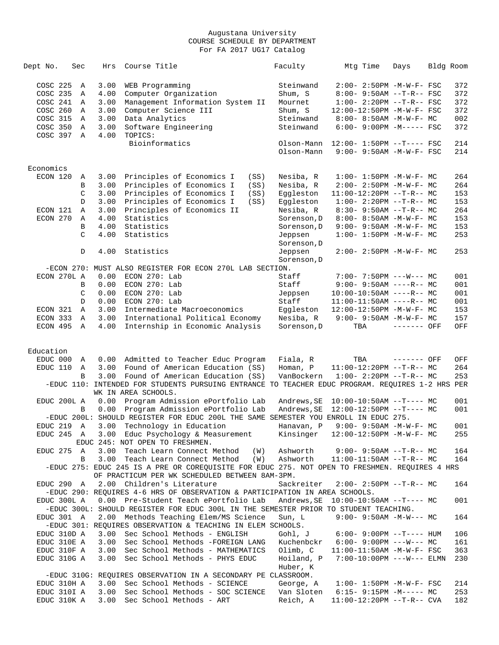| Dept No.    | Sec |               | Hrs  | Course Title                                                                                   | Faculty     | Mtg Time                              | Days        | Bldg Room |     |
|-------------|-----|---------------|------|------------------------------------------------------------------------------------------------|-------------|---------------------------------------|-------------|-----------|-----|
| COSC 225    |     | Α             | 3.00 | WEB Programming                                                                                | Steinwand   | 2:00- 2:50PM -M-W-F- FSC              |             |           | 372 |
| COSC 235    |     | Α             | 4.00 | Computer Organization                                                                          | Shum, S     | 8:00- 9:50AM --T-R-- FSC              |             |           | 372 |
| COSC 241    |     | A             | 3.00 | Management Information System II                                                               | Mournet     | $1:00-2:20PM -T-R--FSC$               |             |           | 372 |
| COSC 260    |     | $\mathbb A$   | 3.00 | Computer Science III                                                                           | Shum, S     | 12:00-12:50PM -M-W-F- FSC             |             |           | 372 |
| COSC 315    |     | Α             | 3.00 | Data Analytics                                                                                 | Steinwand   | 8:00- 8:50AM -M-W-F- MC               |             |           | 002 |
|             |     |               |      |                                                                                                |             |                                       |             |           |     |
| COSC 350    |     | A             | 3.00 | Software Engineering                                                                           | Steinwand   | $6:00-9:00PM -M----- FSC$             |             |           | 372 |
| COSC 397 A  |     |               | 4.00 | TOPICS:                                                                                        |             |                                       |             |           |     |
|             |     |               |      | Bioinformatics                                                                                 | Olson-Mann  | $12:00 - 1:50PM -T--- FSC$            |             |           | 214 |
|             |     |               |      |                                                                                                | Olson-Mann  | $9:00 - 9:50AM - M - W - F - FSC$     |             |           | 214 |
|             |     |               |      |                                                                                                |             |                                       |             |           |     |
| Economics   |     |               |      |                                                                                                |             |                                       |             |           |     |
| ECON 120    |     | Α             | 3.00 | Principles of Economics I<br>(SS)                                                              | Nesiba, R   | $1:00 - 1:50PM - M - W - F - MC$      |             |           | 264 |
|             |     | В             | 3.00 | Principles of Economics I<br>(SS)                                                              | Nesiba, R   | 2:00- 2:50PM -M-W-F- MC               |             |           | 264 |
|             |     | C             | 3.00 | Principles of Economics I<br>(SS)                                                              | Eggleston   | $11:00-12:20PM$ --T-R-- MC            |             |           | 153 |
|             |     | D             | 3.00 | Principles of Economics I<br>(SS)                                                              | Eqqleston   | $1:00-2:20PM -T-R--MC$                |             |           | 153 |
| ECON 121    |     | Α             | 3.00 | Principles of Economics II                                                                     | Nesiba, R   | $8:30 - 9:50AM -T-R--MC$              |             |           | 264 |
| ECON 270    |     | Α             | 4.00 | Statistics                                                                                     | Sorenson, D | 8:00- 8:50AM -M-W-F- MC               |             |           | 153 |
|             |     | B             | 4.00 | Statistics                                                                                     | Sorenson, D | $9:00-9:50AM -M-W-F-MC$               |             |           | 153 |
|             |     | $\mathcal{C}$ | 4.00 | Statistics                                                                                     | Jeppsen     | $1:00 - 1:50PM - M - W - F - MC$      |             |           | 253 |
|             |     |               |      |                                                                                                | Sorenson, D |                                       |             |           |     |
|             |     | D             | 4.00 | Statistics                                                                                     | Jeppsen     | $2:00 - 2:50PM -M-W-F-MC$             |             |           | 253 |
|             |     |               |      |                                                                                                | Sorenson, D |                                       |             |           |     |
|             |     |               |      | -ECON 270: MUST ALSO REGISTER FOR ECON 270L LAB SECTION.                                       |             |                                       |             |           |     |
| ECON 270L A |     |               | 0.00 | $ECON$ 270: Lab                                                                                | Staff       | $7:00 - 7:50PM$ ---W--- MC            |             |           | 001 |
|             |     | B             | 0.00 | $ECON$ 270: Lab                                                                                | Staff       | $9:00 - 9:50AM$ ----R-- MC            |             |           | 001 |
|             |     | C             | 0.00 | ECON 270: Lab                                                                                  | Jeppsen     | $10:00-10:50AM$ ----R-- MC            |             |           | 001 |
|             |     | D             | 0.00 | ECON 270: Lab                                                                                  | Staff       | $11:00-11:50AM$ ----R-- MC            |             |           | 001 |
| ECON 321    |     | $\mathbb A$   | 3.00 | Intermediate Macroeconomics                                                                    |             |                                       |             |           | 153 |
|             |     |               |      |                                                                                                | Eqqleston   | 12:00-12:50PM -M-W-F- MC              |             |           |     |
| ECON 333    |     | A             | 3.00 | International Political Economy                                                                | Nesiba, R   | $9:00 - 9:50AM -M-W-F - MC$           |             |           | 157 |
| ECON 495    |     | A             | 4.00 | Internship in Economic Analysis                                                                | Sorenson, D | TBA                                   | ------- OFF |           | OFF |
|             |     |               |      |                                                                                                |             |                                       |             |           |     |
| Education   |     |               |      |                                                                                                |             |                                       |             |           |     |
| EDUC 000    |     | A             | 0.00 | Admitted to Teacher Educ Program                                                               | Fiala, R    | TBA                                   | ------- OFF |           | OFF |
| EDUC 110    |     | Α             | 3.00 | Found of American Education (SS)                                                               | Homan, P    | $11:00-12:20PM$ --T-R-- MC            |             |           | 264 |
|             |     | B             | 3.00 | Found of American Education (SS)                                                               | VanBockern  | $1:00-2:20PM -T-R--MC$                |             |           | 253 |
|             |     |               |      | -EDUC 110: INTENDED FOR STUDENTS PURSUING ENTRANCE TO TEACHER EDUC PROGRAM. REQUIRES 1-2 HRS   |             |                                       |             |           | PER |
|             |     |               |      | WK IN AREA SCHOOLS.                                                                            |             |                                       |             |           |     |
| EDUC 200L A |     |               | 0.00 | Program Admission ePortfolio Lab                                                               |             |                                       |             |           |     |
|             |     |               |      | Program Admission ePortfolio Lab                                                               | Andrews, SE | $10:00-10:50AM$ --T---- MC            |             |           | 001 |
|             |     | B             | 0.00 |                                                                                                | Andrews, SE | $12:00-12:50PM$ --T---- MC            |             |           | 001 |
|             |     |               |      | -EDUC 200L: SHOULD REGISTER FOR EDUC 200L THE SAME SEMESTER YOU ENROLL IN EDUC 275.            |             |                                       |             |           |     |
| EDUC 219 A  |     |               | 3.00 | Technology in Education                                                                        | Hanavan, P  | 9:00- 9:50AM -M-W-F- MC               |             |           | 001 |
| EDUC 245 A  |     |               |      | 3.00 Educ Psychology & Measurement                                                             | Kinsinger   | 12:00-12:50PM -M-W-F- MC              |             |           | 255 |
|             |     |               |      | EDUC 245: NOT OPEN TO FRESHMEN.                                                                |             |                                       |             |           |     |
| EDUC 275 A  |     |               | 3.00 | Teach Learn Connect Method<br>(W)                                                              | Ashworth    | $9:00 - 9:50AM -T-R-- MC$             |             |           | 164 |
|             |     | В             |      | 3.00 Teach Learn Connect Method<br>(W)                                                         | Ashworth    | $11:00-11:50AM$ --T-R-- MC            |             |           | 164 |
|             |     |               |      | -EDUC 275: EDUC 245 IS A PRE OR COREQUISITE FOR EDUC 275. NOT OPEN TO FRESHMEN. REQUIRES 4 HRS |             |                                       |             |           |     |
|             |     |               |      | OF PRACTICUM PER WK SCHEDULED BETWEEN 8AM-3PM.                                                 |             |                                       |             |           |     |
| EDUC 290 A  |     |               |      | 2.00 Children's Literature                                                                     | Sackreiter  | $2:00 - 2:50PM -T-R-- MC$             |             |           | 164 |
|             |     |               |      | -EDUC 290: REQUIRES 4-6 HRS OF OBSERVATION & PARTICIPATION IN AREA SCHOOLS.                    |             |                                       |             |           |     |
| EDUC 300L A |     |               |      | 0.00 Pre-Student Teach ePortfolio Lab                                                          |             | Andrews, $SE = 10:00-10:50AM -T---MC$ |             |           | 001 |
|             |     |               |      | -EDUC 300L: SHOULD REGISTER FOR EDUC 300L IN THE SEMESTER PRIOR TO STUDENT TEACHING.           |             |                                       |             |           |     |
| EDUC 301 A  |     |               |      | 2.00 Methods Teaching Elem/MS Science                                                          | Sun, L      | $9:00 - 9:50AM - M-W--- MC$           |             |           | 164 |
|             |     |               |      | -EDUC 301: REQUIRES OBSERVATION & TEACHING IN ELEM SCHOOLS.                                    |             |                                       |             |           |     |
| EDUC 310D A |     |               | 3.00 | Sec School Methods - ENGLISH                                                                   | Gohl, J     | $6:00 - 9:00PM -T--- HUM$             |             |           | 106 |
| EDUC 310E A |     |               | 3.00 | Sec School Methods - FOREIGN LANG                                                              | Kuchenbckr  | $6:00 - 9:00PM$ ---W--- MC            |             |           | 161 |
| EDUC 310F A |     |               | 3.00 | Sec School Methods - MATHEMATICS                                                               | Olimb, C    | 11:00-11:50AM -M-W-F- FSC             |             |           | 363 |
| EDUC 310G A |     |               | 3.00 | Sec School Methods - PHYS EDUC                                                                 | Hoiland, P  | $7:00-10:00PM$ ---W--- ELMN           |             |           | 230 |
|             |     |               |      |                                                                                                | Huber, K    |                                       |             |           |     |
|             |     |               |      | -EDUC 310G: REQUIRES OBSERVATION IN A SECONDARY PE CLASSROOM.                                  |             |                                       |             |           |     |
| EDUC 310H A |     |               | 3.00 | Sec School Methods - SCIENCE                                                                   | George, A   | $1:00 - 1:50PM - M - W - F - FSC$     |             |           | 214 |
| EDUC 310I A |     |               | 3.00 | Sec School Methods - SOC SCIENCE                                                               | Van Sloten  | $6:15-9:15PM -M--- MC$                |             |           | 253 |
| EDUC 310K A |     |               | 3.00 | Sec School Methods - ART                                                                       | Reich, A    | $11:00-12:20PM -T-R--$ CVA            |             |           | 182 |
|             |     |               |      |                                                                                                |             |                                       |             |           |     |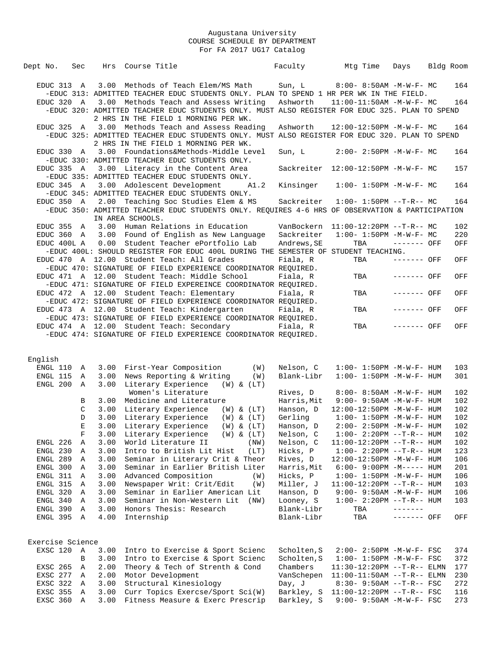| Hrs Course Title<br>Dept No.<br>Sec                                                                                                                   |                          | Faculty                 | Mtg Time                                                       | Days                             | Bldg Room  |
|-------------------------------------------------------------------------------------------------------------------------------------------------------|--------------------------|-------------------------|----------------------------------------------------------------|----------------------------------|------------|
| 3.00 Methods of Teach Elem/MS Math<br>EDUC 313 A                                                                                                      |                          | Sun, L                  | 8:00- 8:50AM -M-W-F- MC                                        |                                  | 164        |
| -EDUC 313: ADMITTED TEACHER EDUC STUDENTS ONLY. PLAN TO SPEND 1 HR PER WK IN THE FIELD.                                                               |                          |                         |                                                                |                                  |            |
| 3.00 Methods Teach and Assess Writing<br>EDUC 320 A                                                                                                   |                          | Ashworth                | 11:00-11:50AM -M-W-F- MC                                       |                                  | 164        |
| -EDUC 320: ADMITTED TEACHER EDUC STUDENTS ONLY. MUST ALSO REGISTER FOR EDUC 325. PLAN TO SPEND                                                        |                          |                         |                                                                |                                  |            |
| 2 HRS IN THE FIELD 1 MORNING PER WK.                                                                                                                  |                          |                         |                                                                |                                  |            |
| 3.00 Methods Teach and Assess Reading<br>EDUC 325 A<br>-EDUC 325: ADMITTED TEACHER EDUC STUDENTS ONLY. MUST ALSO REGISTER FOR EDUC 320. PLAN TO SPEND |                          | Ashworth                | 12:00-12:50PM -M-W-F- MC                                       |                                  | 164        |
| 2 HRS IN THE FIELD 1 MORNING PER WK.                                                                                                                  |                          |                         |                                                                |                                  |            |
| 3.00 Foundations&Methods-Middle Level<br>EDUC 330 A                                                                                                   |                          | Sun, L                  | $2:00 - 2:50PM -M-W-F-MC$                                      |                                  | 164        |
| -EDUC 330: ADMITTED TEACHER EDUC STUDENTS ONLY.                                                                                                       |                          |                         |                                                                |                                  |            |
| EDUC 335 A<br>3.00 Literacy in the Content Area                                                                                                       |                          |                         | Sackreiter 12:00-12:50PM -M-W-F- MC                            |                                  | 157        |
| -EDUC 335: ADMITTED TEACHER EDUC STUDENTS ONLY.                                                                                                       |                          |                         |                                                                |                                  |            |
| 3.00 Adolescent Development<br>EDUC 345 A                                                                                                             | A1.2                     | Kinsinger               | $1:00 - 1:50PM -M-W-F-MC$                                      |                                  | 164        |
| -EDUC 345: ADMITTED TEACHER EDUC STUDENTS ONLY.<br>2.00 Teaching Soc Studies Elem & MS<br>EDUC 350 A                                                  |                          | Sackreiter              | $1:00 - 1:50PM -T-R-- MC$                                      |                                  | 164        |
| -EDUC 350: ADMITTED TEACHER EDUC STUDENTS ONLY. REQUIRES 4-6 HRS OF OBSERVATION & PARTICIPATION                                                       |                          |                         |                                                                |                                  |            |
| IN AREA SCHOOLS.                                                                                                                                      |                          |                         |                                                                |                                  |            |
| EDUC 355 A<br>3.00 Human Relations in Education                                                                                                       |                          | VanBockern              | $11:00-12:20PM$ --T-R-- MC                                     |                                  | 102        |
| EDUC 360 A<br>3.00<br>Found of English as New Language                                                                                                |                          | Sackreiter              | $1:00 - 1:50PM -M-W-F - MC$                                    |                                  | 220        |
| EDUC 400L A<br>0.00 Student Teacher ePortfolio Lab                                                                                                    |                          | Andrews, SE             | TBA                                                            | ------- OFF                      | OFF        |
| -EDUC 400L: SHOULD REGISTER FOR EDUC 400L DURING THE SEMESTER OF STUDENT TEACHING.                                                                    |                          |                         |                                                                |                                  |            |
| EDUC 470 A 12.00 Student Teach: All Grades                                                                                                            |                          | Fiala, R                | TBA                                                            | ------- OFF                      | OFF        |
| -EDUC 470: SIGNATURE OF FIELD EXPERIENCE COORDINATOR REQUIRED.<br>EDUC 471 A 12.00 Student Teach: Middle School                                       |                          | Fiala, R                | TBA                                                            | $-----$ OFF                      | OFF        |
| -EDUC 471: SIGNATURE OF FIELD EXPEREINCE COORDINATOR REOUIRED.                                                                                        |                          |                         |                                                                |                                  |            |
| EDUC 472 A 12.00 Student Teach: Elementary                                                                                                            |                          | Fiala, R                | TBA                                                            | ------- OFF                      | OFF        |
| -EDUC 472: SIGNATURE OF FIELD EXPERIENCE COORDINATOR REQUIRED.                                                                                        |                          |                         |                                                                |                                  |            |
| EDUC 473 A 12.00 Student Teach: Kindergarten                                                                                                          |                          | Fiala, R                | TBA                                                            | ------- OFF                      | OFF        |
| -EDUC 473: SIGNATURE OF FIELD EXPERIENCE COORDINATOR REQUIRED.                                                                                        |                          |                         |                                                                |                                  |            |
| EDUC 474 A 12.00 Student Teach: Secondary                                                                                                             |                          | Fiala, R                | TBA                                                            | ------- OFF                      | OFF        |
| -EDUC 474: SIGNATURE OF FIELD EXPERIENCE COORDINATOR REQUIRED.                                                                                        |                          |                         |                                                                |                                  |            |
|                                                                                                                                                       |                          |                         |                                                                |                                  |            |
| English                                                                                                                                               |                          |                         |                                                                |                                  |            |
| First-Year Composition<br>ENGL 110<br>3.00<br>A                                                                                                       | (W)                      | Nelson, C               | $1:00 - 1:50PM -M-W-F - HUM$                                   |                                  | 103        |
| ENGL 115<br>3.00<br>News Reporting & Writing<br>A                                                                                                     | (W)                      | Blank-Libr              | $1:00 - 1:50PM -M-W-F - HUM$                                   |                                  | 301        |
| ENGL 200<br>3.00<br>Literary Experience (W) & (LT)<br>A                                                                                               |                          |                         |                                                                |                                  |            |
| Women's Literature                                                                                                                                    |                          | Rives, D                | 8:00- 8:50AM -M-W-F- HUM                                       |                                  | 102        |
| 3.00<br>Medicine and Literature<br>В                                                                                                                  |                          | Harris, Mit             | 9:00- 9:50AM -M-W-F- HUM                                       |                                  | 102        |
| Literary Experience<br>C<br>3.00<br>D<br>Literary Experience<br>3.00                                                                                  | (W) & (LT)<br>(W) & (LT) | Hanson, D<br>Gerling    | 12:00-12:50PM -M-W-F- HUM<br>$1:00 - 1:50PM - M - W - F - HUM$ |                                  | 102<br>102 |
| 3.00 Literary Experience<br>Е                                                                                                                         | (W) & (LT)               | Hanson, D               | $2:00-2:50PM -M-W-F-HUM$                                       |                                  | 102        |
| 3.00<br>Literary Experience (W) & (LT)<br>F                                                                                                           |                          | Nelson, C               | $1:00 - 2:20PM -T-R--HUM$                                      |                                  | 102        |
| ENGL 226<br>World Literature II<br>3.00<br>Α                                                                                                          | (NW)                     | Nelson, C               | $11:00-12:20PM$ --T-R-- HUM                                    |                                  | 102        |
| Intro to British Lit Hist<br>ENGL 230<br>3.00<br>Α                                                                                                    | (LT)                     | Hicks, P                | $1:00-2:20PM -T-R--HUM$                                        |                                  | 123        |
| ENGL 289<br>3.00<br>Seminar in Literary Crit & Theor<br>Α                                                                                             |                          | Rives, D                | $12:00-12:50PM -M-W-F- HUM$                                    |                                  | 106        |
| Seminar in Earlier British Liter<br>ENGL 300<br>3.00<br>Α                                                                                             |                          | Harris, Mit             | $6:00 - 9:00PM -M-----$ HUM                                    |                                  | 201        |
| 3.00<br>Advanced Composition<br>ENGL 311<br>A                                                                                                         | (W)                      | Hicks, P                | $1:00 - 1:50PM - M - W - F - HUM$                              |                                  | 106        |
| Newspaper Writ: Crit/Edit<br>ENGL 315<br>3.00<br>Α                                                                                                    | (W)                      | Miller, J               | $11:00-12:20PM -T-R--HUM$                                      |                                  | 103        |
| Seminar in Earlier American Lit<br>ENGL 320<br>3.00<br>Α                                                                                              |                          | Hanson, D               | $9:00 - 9:50AM - M - W - F - HUM$                              |                                  | 106        |
| ENGL 340<br>3.00<br>Seminar in Non-Western Lit<br>Α<br>Honors Thesis: Research<br>ENGL 390<br>3.00<br>Α                                               | (NW)                     | Looney, S<br>Blank-Libr | $1:00 - 2:20PM -T-R--HUM$<br>TBA                               | $- - - - - - - - \vphantom{ - }$ | 103        |
| 4.00<br>Internship<br>ENGL 395 A                                                                                                                      |                          | Blank-Libr              | TBA                                                            | ------- OFF                      | OFF        |
|                                                                                                                                                       |                          |                         |                                                                |                                  |            |
|                                                                                                                                                       |                          |                         |                                                                |                                  |            |
| Exercise Science                                                                                                                                      |                          |                         |                                                                |                                  |            |
| EXSC 120<br>3.00<br>Intro to Exercise & Sport Scienc<br>A                                                                                             |                          | Scholten, S             | $2:00 - 2:50PM - M - W - F - FSC$                              |                                  | 374        |
| Intro to Exercise & Sport Scienc<br>В<br>3.00                                                                                                         |                          | Scholten, S             | $1:00 - 1:50PM - M - W - F - FSC$                              |                                  | 372        |
| Theory & Tech of Strenth & Cond<br>EXSC 265<br>2.00<br>Α                                                                                              |                          | Chambers                | 11:30-12:20PM --T-R-- ELMN                                     |                                  | 177        |
| EXSC 277<br>Motor Development<br>2.00<br>Α<br>EXSC 322<br>3.00<br>Structural Kinesiology<br>Α                                                         |                          | VanSchepen<br>Day, J    | $11:00-11:50AM$ --T-R-- ELMN<br>$8:30 - 9:50AM -T-R--FSC$      |                                  | 230<br>272 |
| Curr Topics Exercse/Sport Sci(W)<br>EXSC 355<br>3.00<br>Α                                                                                             |                          | Barkley, S              | $11:00-12:20PM -T-R--FSC$                                      |                                  | 116        |
| EXSC 360<br>3.00<br>Fitness Measure & Exerc Prescrip<br>Α                                                                                             |                          | Barkley, S              | $9:00 - 9:50AM - M - W - F - FSC$                              |                                  | 273        |
|                                                                                                                                                       |                          |                         |                                                                |                                  |            |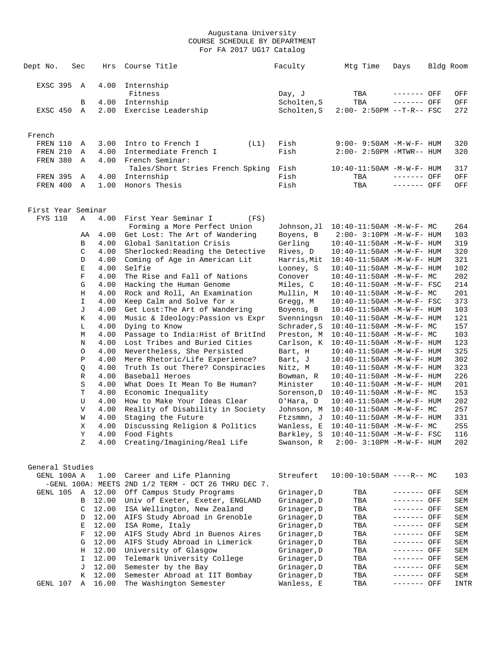| Dept No.           | Sec              | Hrs            | Course Title                                                                    | Faculty                    | Mtg Time                                                             | Days                       | Bldg Room |            |
|--------------------|------------------|----------------|---------------------------------------------------------------------------------|----------------------------|----------------------------------------------------------------------|----------------------------|-----------|------------|
| EXSC 395           | A                | 4.00           | Internship<br>Fitness                                                           | Day, J                     | TBA                                                                  | ------- OFF                |           | OFF        |
|                    | В                | 4.00           | Internship                                                                      | Scholten, S                | TBA                                                                  | ------- OFF                |           | OFF        |
| EXSC 450           | A                | 2.00           | Exercise Leadership                                                             | Scholten, S                | $2:00 - 2:50PM -T-R--FSC$                                            |                            |           | 272        |
| French             |                  |                |                                                                                 |                            |                                                                      |                            |           |            |
| FREN 110           | Α                | 3.00           | Intro to French I<br>(L1)                                                       | Fish                       | 9:00- 9:50AM -M-W-F- HUM                                             |                            |           | 320        |
| FREN 210           | Α                | 4.00           | Intermediate French I                                                           | Fish                       | $2:00 - 2:50PM - MTWR - - HUM$                                       |                            |           | 320        |
| FREN 380           | Α                | 4.00           | French Seminar:<br>Tales/Short Stries French Spking                             | Fish                       | 10:40-11:50AM -M-W-F- HUM                                            |                            |           | 317        |
| <b>FREN 395</b>    | Α                | 4.00           | Internship                                                                      | Fish                       | TBA                                                                  | ------- OFF                |           | OFF        |
| FREN 400           | A                | 1.00           | Honors Thesis                                                                   | Fish                       | TBA                                                                  | ------- OFF                |           | OFF        |
| First Year Seminar |                  |                |                                                                                 |                            |                                                                      |                            |           |            |
| FYS 110            | Α                | 4.00           | First Year Seminar I<br>(FS)                                                    |                            |                                                                      |                            |           |            |
|                    |                  |                | Forming a More Perfect Union                                                    | Johnson, Jl                | 10:40-11:50AM -M-W-F- MC                                             |                            |           | 264        |
|                    | AA               | 4.00           | Get Lost: The Art of Wandering                                                  | Boyens, B                  | 2:00- 3:10PM -M-W-F- HUM                                             |                            |           | 103        |
|                    | В                | 4.00           | Global Sanitation Crisis<br>Sherlocked: Reading the Detective                   | Gerling<br>Rives, D        | $10:40 - 11:50AM$ -M-W-F- HUM                                        |                            |           | 319<br>320 |
|                    | C<br>D           | 4.00<br>4.00   | Coming of Age in American Lit                                                   | Harris, Mit                | $10:40 - 11:50$ AM $-M-W-F-$ HUM<br>$10:40 - 11:50AM$ -M-W-F- HUM    |                            |           | 321        |
|                    | Е                | 4.00           | Selfie                                                                          | Looney, S                  | $10:40 - 11:50AM$ -M-W-F- HUM                                        |                            |           | 102        |
|                    | F                | 4.00           | The Rise and Fall of Nations                                                    | Conover                    | 10:40-11:50AM -M-W-F- MC                                             |                            |           | 202        |
|                    | G                | 4.00           | Hacking the Human Genome                                                        | Miles, C                   | $10:40 - 11:50$ AM $-M-W-F-$ FSC                                     |                            |           | 214        |
|                    | Η                | 4.00           | Rock and Roll, An Examination                                                   | Mullin, M                  | $10:40-11:50AM$ -M-W-F- MC                                           |                            |           | 201        |
|                    | I.               | 4.00           | Keep Calm and Solve for x                                                       | Gregg, M                   | 10:40-11:50AM -M-W-F- FSC                                            |                            |           | 373        |
|                    | J                | 4.00           | Get Lost: The Art of Wandering                                                  | Boyens, B                  | 10:40-11:50AM -M-W-F- HUM                                            |                            |           | 103        |
|                    | Κ                | 4.00           | Music & Ideology: Passion vs Expr                                               | Svenningsn                 | $10:40 - 11:50AM$ -M-W-F- HUM                                        |                            |           | 121        |
|                    | L                | 4.00           | Dying to Know                                                                   | Schrader, S                | $10:40-11:50AM$ -M-W-F- MC                                           |                            |           | 157        |
|                    | М<br>N           | 4.00<br>4.00   | Passage to India: Hist of BritInd<br>Lost Tribes and Buried Cities              | Preston, M<br>Carlson, K   | $10:40-11:50AM$ -M-W-F- MC<br>$10:40-11:50AM$ -M-W-F- HUM            |                            |           | 103<br>123 |
|                    | $\circ$          | 4.00           | Nevertheless, She Persisted                                                     | Bart, H                    | $10:40 - 11:50$ AM $-M-W-F-$ HUM                                     |                            |           | 325        |
|                    | Ρ                | 4.00           | Mere Rhetoric/Life Experience?                                                  | Bart, J                    | $10:40 - 11:50$ AM $-M-W-F-$ HUM                                     |                            |           | 302        |
|                    | Q                | 4.00           | Truth Is out There? Conspiracies                                                | Nitz, M                    | $10:40 - 11:50$ AM $-M-W-F-$ HUM                                     |                            |           | 323        |
|                    | R                | 4.00           | Baseball Heroes                                                                 | Bowman, R                  | 10:40-11:50AM -M-W-F- HUM                                            |                            |           | 226        |
|                    | S                | 4.00           | What Does It Mean To Be Human?                                                  | Minister                   | 10:40-11:50AM -M-W-F- HUM                                            |                            |           | 201        |
|                    | T                | 4.00           | Economic Inequality                                                             | Sorenson, D                | $10:40-11:50AM$ -M-W-F- MC                                           |                            |           | 153        |
|                    | U                | 4.00           | How to Make Your Ideas Clear                                                    | O'Hara, D                  | $10:40 - 11:50$ AM $-M-W-F-$ HUM                                     |                            |           | 202        |
|                    | V                | 4.00           | Reality of Disability in Society                                                | Johnson, M                 | $10:40-11:50AM$ -M-W-F- MC                                           |                            |           | 257        |
|                    | W<br>$\mathbf X$ | 4.00<br>4.00   | Staging the Future<br>Discussing Religion & Politics                            | Ftzsmmn, J                 | $10:40 - 11:50AM$ -M-W-F- HUM<br>Wanless, E 10:40-11:50AM -M-W-F- MC |                            |           | 331<br>255 |
|                    | Υ                | 4.00           | Food Fights                                                                     |                            | Barkley, $S$ 10:40-11:50AM -M-W-F- FSC                               |                            |           | 116        |
|                    | Z                | 4.00           | Creating/Imagining/Real Life                                                    | Swanson, R                 | 2:00- 3:10PM -M-W-F- HUM                                             |                            |           | 202        |
| General Studies    |                  |                |                                                                                 |                            |                                                                      |                            |           |            |
| GENL 100A A        |                  | 1.00           | Career and Life Planning<br>-GENL 100A: MEETS 2ND 1/2 TERM - OCT 26 THRU DEC 7. | Streufert                  | $10:00-10:50AM$ ----R-- MC                                           |                            |           | 103        |
| GENL 105           | Α                | 12.00          | Off Campus Study Programs                                                       | Grinager, D                | TBA                                                                  | ------- OFF                |           | SEM        |
|                    | В                | 12.00          | Univ of Exeter, Exeter, ENGLAND                                                 | Grinager, D                | TBA                                                                  | ------- OFF                |           | SEM        |
|                    | C                | 12.00          | ISA Wellington, New Zealand                                                     | Grinager, D                | TBA                                                                  | ------- OFF                |           | SEM        |
|                    | D                | 12.00          | AIFS Study Abroad in Grenoble<br>ISA Rome, Italy                                | Grinager, D                | TBA                                                                  | ------- OFF                |           | SEM        |
|                    | Е<br>F           | 12.00<br>12.00 | AIFS Study Abrd in Buenos Aires                                                 | Grinager, D<br>Grinager, D | TBA<br>TBA                                                           | ------- OFF<br>------- OFF |           | SEM<br>SEM |
|                    | G                | 12.00          | AIFS Study Abroad in Limerick                                                   | Grinager, D                | TBA                                                                  | ------- OFF                |           | SEM        |
|                    | Η                | 12.00          | University of Glasgow                                                           | Grinager, D                | TBA                                                                  | ------- OFF                |           | SEM        |
|                    | I                | 12.00          | Telemark University College                                                     | Grinager, D                | TBA                                                                  | ------- OFF                |           | SEM        |
|                    | J                | 12.00          | Semester by the Bay                                                             | Grinager, D                | TBA                                                                  | ------- OFF                |           | SEM        |
|                    | К                | 12.00          | Semester Abroad at IIT Bombay                                                   | Grinager, D                | TBA                                                                  | ------- OFF                |           | SEM        |
| GENL 107           | Α                | 16.00          | The Washington Semester                                                         | Wanless, E                 | TBA                                                                  | ------- OFF                |           | INTR       |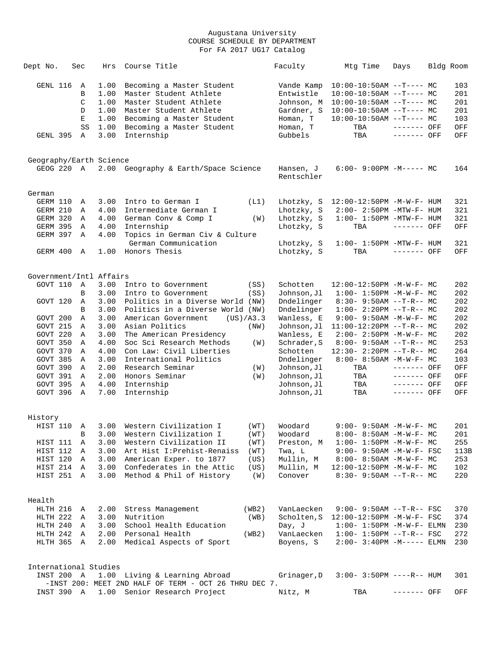| Dept No.                              | Sec                              | Hrs                                                  | Course Title                                                                                                                                                                    |             | Faculty                                                                                | Mtg Time                                                                                                                                                         | Days                       | Bldg Room                                     |
|---------------------------------------|----------------------------------|------------------------------------------------------|---------------------------------------------------------------------------------------------------------------------------------------------------------------------------------|-------------|----------------------------------------------------------------------------------------|------------------------------------------------------------------------------------------------------------------------------------------------------------------|----------------------------|-----------------------------------------------|
| GENL 116<br>GENL 395                  | Α<br>В<br>C<br>D<br>Е<br>SS<br>A | 1.00<br>1.00<br>1.00<br>1.00<br>1.00<br>1.00<br>3.00 | Becoming a Master Student<br>Master Student Athlete<br>Master Student Athlete<br>Master Student Athlete<br>Becoming a Master Student<br>Becoming a Master Student<br>Internship |             | Vande Kamp<br>Entwistle<br>Johnson, M<br>Gardner, S<br>Homan, T<br>Homan, T<br>Gubbels | $10:00-10:50AM$ --T---- MC<br>$10:00-10:50AM$ --T---- MC<br>$10:00-10:50AM$ --T---- MC<br>$10:00-10:50AM$ --T---- MC<br>$10:00-10:50AM$ --T---- MC<br>TBA<br>TBA | ------- OFF<br>------- OFF | 103<br>201<br>201<br>201<br>103<br>OFF<br>OFF |
|                                       |                                  |                                                      |                                                                                                                                                                                 |             |                                                                                        |                                                                                                                                                                  |                            |                                               |
| Geography/Earth Science<br>GEOG 220 A |                                  |                                                      | 2.00 Geography & Earth/Space Science                                                                                                                                            |             | Hansen, J<br>Rentschler                                                                | $6:00-9:00PM -M--- MC$                                                                                                                                           |                            | 164                                           |
| German                                |                                  |                                                      |                                                                                                                                                                                 |             |                                                                                        |                                                                                                                                                                  |                            |                                               |
| GERM 110                              | Α                                | 3.00                                                 | Intro to German I                                                                                                                                                               | (L1)        | Lhotzky, S                                                                             | 12:00-12:50PM -M-W-F- HUM                                                                                                                                        |                            | 321                                           |
| GERM 210                              | Α                                | 4.00                                                 | Intermediate German I                                                                                                                                                           |             | Lhotzky, S                                                                             | $2:00-2:50PM -MTW-F-HUM$                                                                                                                                         |                            | 321                                           |
| GERM 320                              | Α                                | 4.00                                                 | German Conv & Comp I                                                                                                                                                            | (W)         | Lhotzky, S                                                                             | $1:00-1:50PM -MTW-F-HUM$                                                                                                                                         |                            | 321                                           |
| GERM 395<br>GERM 397                  | Α<br>Α                           | 4.00<br>4.00                                         | Internship<br>Topics in German Civ & Culture                                                                                                                                    |             | Lhotzky, S                                                                             | TBA                                                                                                                                                              | ------- OFF                | OFF                                           |
|                                       |                                  |                                                      | German Communication                                                                                                                                                            |             | Lhotzky, S                                                                             | $1:00-1:50PM -MTW-F-HUM$                                                                                                                                         |                            | 321                                           |
| GERM 400                              | A                                | 1.00                                                 | Honors Thesis                                                                                                                                                                   |             | Lhotzky, S                                                                             | TBA                                                                                                                                                              | ------- OFF                | OFF                                           |
| Government/Intl Affairs               |                                  |                                                      |                                                                                                                                                                                 |             |                                                                                        |                                                                                                                                                                  |                            |                                               |
| GOVT 110                              | A                                | 3.00                                                 | Intro to Government                                                                                                                                                             | (SS)        | Schotten                                                                               | $12:00-12:50PM -M-W-F-MC$                                                                                                                                        |                            | 202                                           |
|                                       | B                                | 3.00                                                 | Intro to Government                                                                                                                                                             | (SS)        | Johnson, Jl                                                                            | $1:00 - 1:50PM - M - W - F - MC$                                                                                                                                 |                            | 202                                           |
| GOVT 120                              | A                                | 3.00                                                 | Politics in a Diverse World (NW)                                                                                                                                                |             | Dndelinger                                                                             | $8:30 - 9:50AM -T-R--MC$                                                                                                                                         |                            | 202                                           |
|                                       | B                                | 3.00                                                 | Politics in a Diverse World (NW)                                                                                                                                                |             | Dndelinger                                                                             | $1:00-2:20PM -T-R--MC$                                                                                                                                           |                            | 202                                           |
| GOVT 200                              | Α                                | 3.00                                                 | American Government<br>(US)/A3.3                                                                                                                                                |             | Wanless, E                                                                             | $9:00 - 9:50AM - M - W - F - MC$                                                                                                                                 |                            | 202                                           |
| GOVT 215                              | $\mathbb A$                      | 3.00                                                 | Asian Politics                                                                                                                                                                  | (NW)        | Johnson, Jl                                                                            | $11:00-12:20PM$ --T-R-- MC                                                                                                                                       |                            | 202                                           |
| GOVT 220                              | A                                | 3.00                                                 | The American Presidency                                                                                                                                                         |             | Wanless, E                                                                             | $2:00 - 2:50PM -M-W-F - MC$                                                                                                                                      |                            | 202                                           |
| GOVT 350                              | Α                                | 4.00                                                 | Soc Sci Research Methods                                                                                                                                                        | (W)         | Schrader, S                                                                            | $8:00-9:50AM --T-R--MC$                                                                                                                                          |                            | 253                                           |
| GOVT 370<br>GOVT 385                  | Α<br>A                           | 4.00<br>3.00                                         | Con Law: Civil Liberties<br>International Politics                                                                                                                              |             | Schotten<br>Dndelinger                                                                 | $12:30 - 2:20PM -T-R-- MC$<br>8:00- 8:50AM -M-W-F- MC                                                                                                            |                            | 264<br>103                                    |
| GOVT 390                              | A                                | 2.00                                                 | Research Seminar                                                                                                                                                                | (W)         | Johnson,Jl                                                                             | TBA                                                                                                                                                              | ------- OFF                | OFF                                           |
| GOVT 391                              | A                                | 2.00                                                 | Honors Seminar                                                                                                                                                                  | (W)         | Johnson, Jl                                                                            | TBA                                                                                                                                                              | ------- OFF                | OFF                                           |
| GOVT 395                              | $\mathbb A$                      | 4.00                                                 | Internship                                                                                                                                                                      |             | Johnson, Jl                                                                            | TBA                                                                                                                                                              | ------- OFF                | OFF                                           |
| GOVT 396                              | A                                | 7.00                                                 | Internship                                                                                                                                                                      |             | Johnson, Jl                                                                            | TBA                                                                                                                                                              | ------- OFF                | OFF                                           |
| History                               |                                  |                                                      |                                                                                                                                                                                 |             |                                                                                        |                                                                                                                                                                  |                            |                                               |
|                                       |                                  |                                                      | HIST 110 A 3.00 Western Civilization I                                                                                                                                          | (WT)        | Woodard                                                                                | $9:00 - 9:50AM - M-W-F - MC$                                                                                                                                     |                            | 201                                           |
|                                       | В                                | 3.00                                                 | Western Civilization I                                                                                                                                                          | (WT)        | Woodard                                                                                | $8:00 - 8:50AM$ -M-W-F- MC                                                                                                                                       |                            | 201                                           |
| HIST 111                              | Α                                | 3.00                                                 | Western Civilization II                                                                                                                                                         | (WT)        | Preston, M                                                                             | $1:00 - 1:50PM - M - W - F - MC$                                                                                                                                 |                            | 255                                           |
| HIST 112                              | A                                | 3.00                                                 | Art Hist I: Prehist-Renaiss                                                                                                                                                     | (WT)        | Twa, L                                                                                 | $9:00 - 9:50AM - M - W - F - FSC$                                                                                                                                |                            | 113B                                          |
| HIST 120                              | A                                | 3.00                                                 | American Exper. to 1877                                                                                                                                                         | (US)        | Mullin, M                                                                              | $8:00 - 8:50AM - M - W - F - MC$                                                                                                                                 |                            | 253                                           |
| HIST 214<br>HIST 251 A                | A                                | 3.00<br>3.00                                         | Confederates in the Attic<br>Method & Phil of History                                                                                                                           | (US)<br>(W) | Mullin, M<br>Conover                                                                   | $12:00-12:50PM -M-W-F-MC$<br>$8:30 - 9:50AM -T-R-- MC$                                                                                                           |                            | 102<br>220                                    |
| Health                                |                                  |                                                      |                                                                                                                                                                                 |             |                                                                                        |                                                                                                                                                                  |                            |                                               |
| HLTH 216                              | A                                | 2.00                                                 | Stress Management                                                                                                                                                               | (WB2)       | VanLaecken                                                                             | $9:00 - 9:50AM -T-R--FSC$                                                                                                                                        |                            | 370                                           |
| HLTH 222                              | A                                | 3.00                                                 | Nutrition                                                                                                                                                                       | (WB)        | Scholten, S                                                                            | $12:00-12:50PM -M-W-F- FSC$                                                                                                                                      |                            | 374                                           |
| HLTH 240                              | A                                | 3.00                                                 | School Health Education                                                                                                                                                         |             | Day, J                                                                                 | $1:00 - 1:50PM - M - W - F - ELMN$                                                                                                                               |                            | 230                                           |
| HLTH 242                              | A                                | 2.00                                                 | Personal Health                                                                                                                                                                 | (WB2)       | VanLaecken                                                                             | $1:00-1:50PM -T-R--FSC$                                                                                                                                          |                            | 272                                           |
| HLTH 365 A                            |                                  | 2.00                                                 | Medical Aspects of Sport                                                                                                                                                        |             | Boyens, S                                                                              | $2:00 - 3:40PM -M-----$ ELMN                                                                                                                                     |                            | 230                                           |
| International Studies                 |                                  |                                                      |                                                                                                                                                                                 |             |                                                                                        |                                                                                                                                                                  |                            |                                               |
| INST 200 A                            |                                  |                                                      | 1.00 Living & Learning Abroad<br>-INST 200: MEET 2ND HALF OF TERM - OCT 26 THRU DEC 7.                                                                                          |             | Grinager, D                                                                            | $3:00 - 3:50PM$ ----R-- HUM                                                                                                                                      |                            | 301                                           |
| INST 390 A                            |                                  |                                                      | 1.00 Senior Research Project                                                                                                                                                    |             | Nitz, M                                                                                | TBA                                                                                                                                                              | ------- OFF                | OFF                                           |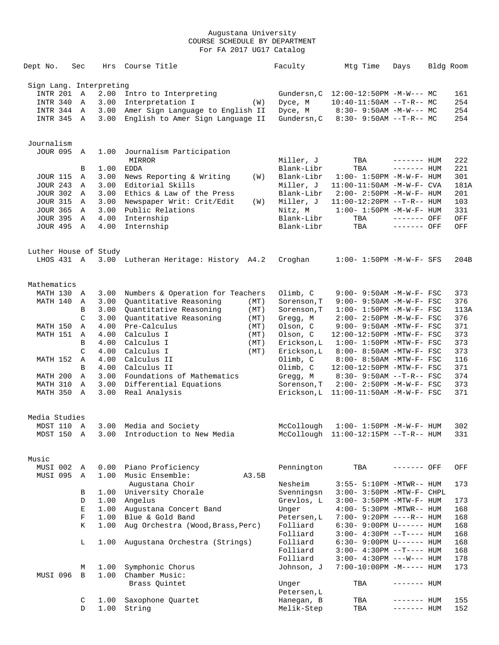| Dept No.                | Sec           | Hrs  | Course Title                                | Faculty                   | Mtg Time                                              | Days                       | Bldg Room |
|-------------------------|---------------|------|---------------------------------------------|---------------------------|-------------------------------------------------------|----------------------------|-----------|
| Sign Lang. Interpreting |               |      |                                             |                           |                                                       |                            |           |
| INTR 201 A              |               | 2.00 | Intro to Interpreting                       | Gundersn, C               | $12:00-12:50PM -M-W--- MC$                            |                            | 161       |
| INTR 340                | A             | 3.00 | Interpretation I<br>(W)                     | Dyce, M                   | $10:40-11:50AM$ --T-R-- MC                            |                            | 254       |
| INTR 344 A              |               | 3.00 | Amer Sign Language to English II            | Dyce, M                   | $8:30 - 9:50AM - M-W--- MC$                           |                            | 254       |
| INTR 345 A              |               | 3.00 | English to Amer Sign Language II            | Gundersn, C               | $8:30 - 9:50AM -T-R-- MC$                             |                            | 254       |
| Journalism              |               |      |                                             |                           |                                                       |                            |           |
| <b>JOUR 095</b>         | A             | 1.00 | Journalism Participation                    |                           |                                                       |                            |           |
|                         |               |      | MIRROR                                      | Miller, J                 | TBA                                                   | $------$ HUM               | 222       |
|                         | В             | 1.00 | <b>EDDA</b>                                 | Blank-Libr                | TBA                                                   | ------- HUM                | 221       |
| <b>JOUR 115</b>         | Α             | 3.00 | News Reporting & Writing<br>(W)             | Blank-Libr                | $1:00 - 1:50PM -M-W-F - HUM$                          |                            | 301       |
| <b>JOUR 243</b>         | Α             | 3.00 | Editorial Skills                            | Miller, J                 | 11:00-11:50AM -M-W-F- CVA                             |                            | 181A      |
| <b>JOUR 302</b>         | A             | 3.00 | Ethics & Law of the Press                   | Blank-Libr                | $2:00-2:50PM -M-W-F-HUM$                              |                            | 201       |
| <b>JOUR 315</b>         | A             | 3.00 | Newspaper Writ: Crit/Edit<br>(W)            | Miller, J                 | 11:00-12:20PM --T-R-- HUM                             |                            | 103       |
| <b>JOUR 365</b>         | A             | 3.00 | Public Relations                            | Nitz, M                   | $1:00 - 1:50PM -M-W-F - HUM$                          |                            | 331       |
| <b>JOUR 395</b>         | A             | 4.00 | Internship                                  | Blank-Libr                | TBA                                                   | ------- OFF                | OFF       |
| JOUR 495 A              |               | 4.00 | Internship                                  | Blank-Libr                | TBA                                                   | $------$ OFF               | OFF       |
| Luther House of Study   |               |      |                                             |                           |                                                       |                            |           |
| LHOS 431 A              |               |      | 3.00 Lutheran Heritage: History A4.2        | Croghan                   | $1:00 - 1:50PM -M-W-F-$ SFS                           |                            | 204B      |
| Mathematics             |               |      |                                             |                           |                                                       |                            |           |
| MATH 130                | A             | 3.00 | Numbers & Operation for Teachers            | Olimb, C                  | $9:00 - 9:50AM - M - W - F - FSC$                     |                            | 373       |
| MATH 140                | Α             | 3.00 | Quantitative Reasoning<br>(MT)              | Sorenson, T               | 9:00- 9:50AM -M-W-F- FSC                              |                            | 376       |
|                         | B             | 3.00 | Quantitative Reasoning<br>(MT)              | Sorenson, T               | $1:00 - 1:50PM -M-W-F - FSC$                          |                            | 113A      |
|                         | C             | 3.00 | Quantitative Reasoning<br>(MT)              | Gregg, M                  | 2:00- 2:50PM -M-W-F- FSC                              |                            | 376       |
| MATH 150                | Α             | 4.00 | Pre-Calculus<br>(MT)                        | Olson, C                  | 9:00- 9:50AM -MTW-F- FSC                              |                            | 371       |
| MATH 151                | Α             | 4.00 | Calculus I<br>(MT)                          | Olson, C                  | 12:00-12:50PM -MTW-F- FSC                             |                            | 373       |
|                         | B             | 4.00 | Calculus I<br>(MT)                          | Erickson, L               | $1:00-1:50PM -MTW-F-FSC$                              |                            | 373       |
|                         | $\mathcal{C}$ | 4.00 | Calculus I<br>(MT)                          | Erickson, L               | 8:00- 8:50AM -MTW-F- FSC                              |                            | 373       |
| MATH 152                | Α             | 4.00 | Calculus II                                 | Olimb, C                  | 8:00- 8:50AM -MTW-F- FSC                              |                            | 116       |
|                         | B             | 4.00 | Calculus II                                 | Olimb, C                  | 12:00-12:50PM -MTW-F- FSC                             |                            | 371       |
| MATH 200                | Α             | 3.00 | Foundations of Mathematics                  | Gregg, M                  | $8:30 - 9:50AM -T-R--FSC$                             |                            | 374       |
| MATH 310                | Α             | 3.00 | Differential Equations                      | Sorenson, T               | $2:00 - 2:50PM -M-W-F - FSC$                          |                            | 373       |
| MATH 350                | A             | 3.00 | Real Analysis                               | Erickson, L               | $11:00-11:50AM$ -M-W-F- FSC                           |                            | 371       |
| Media Studies           |               |      |                                             |                           |                                                       |                            |           |
| MDST 110 A              |               |      | 3.00 Media and Society                      |                           | McCollough 1:00- 1:50PM -M-W-F- HUM                   |                            | 302       |
| MDST 150 A              |               |      | 3.00 Introduction to New Media              |                           | McCollough 11:00-12:15PM --T-R-- HUM                  |                            | 331       |
| Music                   |               |      |                                             |                           |                                                       |                            |           |
| MUSI 002 A              |               |      | 0.00 Piano Proficiency                      | Pennington                | TBA                                                   | ------- OFF                | OFF       |
| MUSI 095 A              |               | 1.00 | Music Ensemble:<br>A3.5B<br>Augustana Choir |                           |                                                       |                            |           |
|                         | В             |      | 1.00 University Chorale                     | Nesheim<br>Svenningsn     | 3:55- 5:10PM -MTWR-- HUM<br>3:00- 3:50PM -MTW-F- CHPL |                            | 173       |
|                         | D             |      | 1.00 Angelus                                | Grevlos, L                | 3:00- 3:50PM -MTW-F- HUM                              |                            | 173       |
|                         | Е             | 1.00 | Augustana Concert Band                      | Unger                     | 4:00- 5:30PM -MTWR-- HUM                              |                            | 168       |
|                         |               | 1.00 | Blue & Gold Band                            |                           | 7:00- 9:20PM ----R-- HUM                              |                            |           |
|                         | F             |      |                                             | Petersen, L<br>Folliard   | $6:30-9:00PM$ U------ HUM                             |                            | 168       |
|                         | Κ             | 1.00 | Aug Orchestra (Wood, Brass, Perc)           | Folliard                  |                                                       |                            | 168       |
|                         |               |      |                                             | Folliard                  | $3:00-4:30PM -T--- HUM$                               |                            | 168       |
|                         | L             | 1.00 | Augustana Orchestra (Strings)               | Folliard                  | $6:30 - 9:00 \text{PM U----- HUM}$                    |                            | 168       |
|                         |               |      |                                             |                           | $3:00-4:30PM -T--- HUM$                               |                            | 168       |
|                         |               |      |                                             | Folliard                  | $3:00 - 4:30PM$ ---W--- HUM                           |                            | 178       |
|                         | М             | 1.00 | Symphonic Chorus                            | Johnson, J                | $7:00-10:00PM -M-----$ HUM                            |                            | 173       |
| MUSI 096                | B             | 1.00 | Chamber Music:                              |                           |                                                       |                            |           |
|                         |               |      | Brass Quintet                               | Unger                     | TBA                                                   | ------- HUM                |           |
|                         |               | 1.00 | Saxophone Quartet                           | Petersen, L<br>Hanegan, B |                                                       |                            | 155       |
|                         | C<br>D        | 1.00 | String                                      | Melik-Step                | TBA<br>TBA                                            | ------- HUM<br>------- HUM | 152       |
|                         |               |      |                                             |                           |                                                       |                            |           |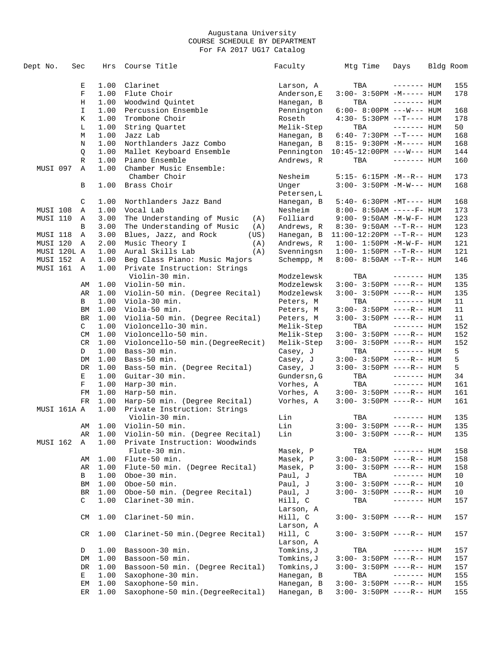| Dept No.    | Sec |              | Hrs          | Course Title                                                      | Faculty              | Mtg Time                              | Days         | Bldg Room |
|-------------|-----|--------------|--------------|-------------------------------------------------------------------|----------------------|---------------------------------------|--------------|-----------|
|             |     | Е            | 1.00         | Clarinet                                                          | Larson, A            | TBA                                   | $------$ HUM | 155       |
|             |     | F            | 1.00         | Flute Choir                                                       | Anderson, E          | $3:00-3:50PM -M-----$ HUM             |              | 178       |
|             |     | Η            | 1.00         | Woodwind Quintet                                                  | Hanegan, B           | TBA                                   | $------$ HUM |           |
|             |     |              |              |                                                                   |                      |                                       |              |           |
|             |     | $\mathbf I$  | 1.00         | Percussion Ensemble                                               | Pennington           | $6:00-8:00PM$ ---W--- HUM             |              | 168       |
|             |     | Κ            | 1.00         | Trombone Choir                                                    | Roseth               | $4:30 - 5:30PM -T--- HUM$             |              | 178       |
|             |     | L            | 1.00         | String Quartet                                                    | Melik-Step           | TBA                                   | $------$ HUM | 50        |
|             |     | М            | 1.00         | Jazz Lab                                                          | Hanegan, B           | $6:40 - 7:30PM -T--- HUM$             |              | 168       |
|             |     | N            | 1.00         | Northlanders Jazz Combo                                           | Hanegan, B           | 8:15- 9:30PM -M----- HUM              |              | 168       |
|             |     | Q            | 1.00         | Mallet Keyboard Ensemble                                          | Pennington           | $10:45 - 12:00 \text{PM}$ ---W--- HUM |              | 144       |
|             |     | R            | 1.00         | Piano Ensemble                                                    | Andrews, R           | TBA                                   | $------$ HUM | 160       |
| MUSI 097    |     | Α            | 1.00         | Chamber Music Ensemble:<br>Chamber Choir                          | Nesheim              | 5:15- 6:15PM -M--R-- HUM              |              | 173       |
|             |     | В            | 1.00         | Brass Choir                                                       | Unger<br>Petersen, L | $3:00 - 3:50PM -M-W--- HUM$           |              | 168       |
|             |     | C            | 1.00         | Northlanders Jazz Band                                            | Hanegan, B           | 5:40- 6:30PM -MT---- HUM              |              | 168       |
| MUSI 108    |     | Α            | 1.00         | Vocal Lab                                                         | Nesheim              | $8:00 - 8:50AM$ -----F- HUM           |              | 173       |
| MUSI 110    |     | Α            | 3.00         | The Understanding of Music<br>(A)                                 | Folliard             | 9:00- 9:50AM -M-W-F- HUM              |              | 123       |
|             |     | B            | 3.00         | The Understanding of Music<br>(A)                                 | Andrews, R           | $8:30 - 9:50AM -T-R-- HUM$            |              | 123       |
| MUSI 118    |     | Α            | 3.00         | Blues, Jazz, and Rock<br>(US)                                     | Hanegan, B           | 11:00-12:20PM --T-R-- HUM             |              | 123       |
| MUSI 120    |     | Α            | 2.00         | Music Theory I<br>(A)                                             | Andrews, R           | $1:00 - 1:50PM -M -W -F - HUM$        |              | 121       |
| MUSI 120L A |     |              | 1.00         | Aural Skills Lab<br>(A)                                           | Svenningsn           | $1:00 - 1:50PM -T-R--HUM$             |              | 121       |
| MUSI 152    |     | Α            |              |                                                                   | Schempp, M           |                                       |              |           |
| MUSI 161    |     | A            | 1.00<br>1.00 | Beg Class Piano: Music Majors<br>Private Instruction: Strings     |                      | 8:00- 8:50AM --T-R-- HUM              |              | 146       |
|             |     |              |              | Violin-30 min.                                                    | Modzelewsk           | TBA                                   | $------$ HUM | 135       |
|             |     | AΜ           | 1.00         | Violin-50 min.                                                    | Modzelewsk           | $3:00-3:50PM$ ----R-- HUM             |              | 135       |
|             |     | AR           | 1.00         | Violin-50 min. (Degree Recital)                                   | Modzelewsk           | $3:00-3:50PM$ ----R-- HUM             |              | 135       |
|             |     | B            | 1.00         | Viola-30 min.                                                     | Peters, M            | TBA                                   | $------$ HUM | 11        |
|             |     | ΒM           | 1.00         | Viola-50 min.                                                     | Peters, M            | $3:00 - 3:50PM$ ----R-- HUM           |              | 11        |
|             |     | BR           | 1.00         | Violia-50 min. (Degree Recital)                                   | Peters, M            | $3:00-3:50PM$ ----R-- HUM             |              | 11        |
|             |     | C            | 1.00         | Violoncello-30 min.                                               | Melik-Step           | TBA                                   | ------- HUM  | 152       |
|             |     | CM           | 1.00         | Violoncello-50 min.                                               | Melik-Step           | $3:00-3:50PM$ ----R-- HUM             |              | 152       |
|             |     | CR           | 1.00         | Violoncello-50 min. (DegreeRecit)                                 | Melik-Step           | $3:00 - 3:50PM$ ----R-- HUM           |              | 152       |
|             |     | D            | 1.00         | Bass-30 min.                                                      | Casey, J             | TBA                                   | $------$ HUM | 5         |
|             |     | DM           | 1.00         | Bass-50 min.                                                      | Casey, J             | $3:00-3:50PM$ ----R-- HUM             |              | 5         |
|             |     | DR           | 1.00         | Bass-50 min. (Degree Recital)                                     | Casey, J             | $3:00-3:50PM$ ----R-- HUM             |              | 5         |
|             |     | Е            | 1.00         | Guitar-30 min.                                                    | Gundersn, G          | TBA                                   | $------$ HUM | 34        |
|             |     | $\mathbf{F}$ | 1.00         | Harp-30 min.                                                      | Vorhes, A            | TBA                                   | $------$ HUM | 161       |
|             |     | FM           | 1.00         | Harp-50 min.                                                      | Vorhes, A            | $3:00-3:50PM$ ----R-- HUM             |              | 161       |
|             |     | <b>FR</b>    | 1.00         |                                                                   |                      |                                       |              | 161       |
| MUSI 161A A |     |              | 1.00         | Harp-50 min. (Degree Recital)<br>Private Instruction: Strings     | Vorhes, A            | $3:00 - 3:50PM$ ----R-- HUM           |              |           |
|             |     |              |              | Violin-30 min.                                                    | Lin                  | TBA                                   | $------$ HUM | 135       |
|             |     | AΜ           | 1.00         | Violin-50 min.                                                    | Lin                  | $3:00-3:50PM$ ----R-- HUM             |              | 135       |
| MUSI 162    |     | AR<br>Α      | 1.00<br>1.00 | Violin-50 min. (Degree Recital)<br>Private Instruction: Woodwinds | Lin                  | 3:00- 3:50PM ----R-- HUM              |              | 135       |
|             |     |              |              | Flute-30 min.                                                     | Masek, P             | TBA                                   | $------HUM$  | 158       |
|             |     | AΜ           | 1.00         | Flute-50 min.                                                     | Masek, P             | $3:00 - 3:50PM$ ----R-- HUM           |              | 158       |
|             |     | AR           | 1.00         | Flute-50 min. (Degree Recital)                                    | Masek, P             | $3:00 - 3:50PM$ ----R-- HUM           |              | 158       |
|             |     | В            | 1.00         | Oboe-30 min.                                                      | Paul, J              | TBA                                   | $------$ HUM | 10        |
|             |     | ΒM           | 1.00         | Oboe-50 min.                                                      | Paul, J              | $3:00 - 3:50PM$ ----R-- HUM           |              | 10        |
|             |     | BR           | 1.00         | Oboe-50 min. (Degree Recital)                                     | Paul, J              | $3:00 - 3:50PM$ ----R-- HUM           |              | 10        |
|             |     | C            | 1.00         | Clarinet-30 min.                                                  | Hill, C<br>Larson, A | TBA                                   | $------HUM$  | 157       |
|             |     | CM           | 1.00         | Clarinet-50 min.                                                  | Hill, C<br>Larson, A | 3:00- 3:50PM ----R-- HUM              |              | 157       |
|             |     | CR.          | 1.00         | Clarinet-50 min. (Degree Recital)                                 | Hill, C<br>Larson, A | $3:00 - 3:50PM$ ----R-- HUM           |              | 157       |
|             |     | D            | 1.00         | Bassoon-30 min.                                                   | Tomkins,J            | TBA                                   | $------$ HUM | 157       |
|             |     | DM           | 1.00         | Bassoon-50 min.                                                   | Tomkins, J           | 3:00- 3:50PM ----R-- HUM              |              | 157       |
|             |     | DR           | 1.00         | Bassoon-50 min. (Degree Recital)                                  | Tomkins,J            | $3:00-3:50PM$ ----R-- HUM             |              | 157       |
|             |     | Е            | 1.00         | Saxophone-30 min.                                                 | Hanegan, B           | TBA                                   | $------$ HUM | 155       |
|             |     | ΕM           | 1.00         | Saxophone-50 min.                                                 | Hanegan, B           | $3:00 - 3:50PM$ ----R-- HUM           |              | 155       |
|             |     | ER           | 1.00         | Saxophone-50 min. (DegreeRecital)                                 | Hanegan, B           | $3:00-3:50PM$ ----R-- HUM             |              | 155       |
|             |     |              |              |                                                                   |                      |                                       |              |           |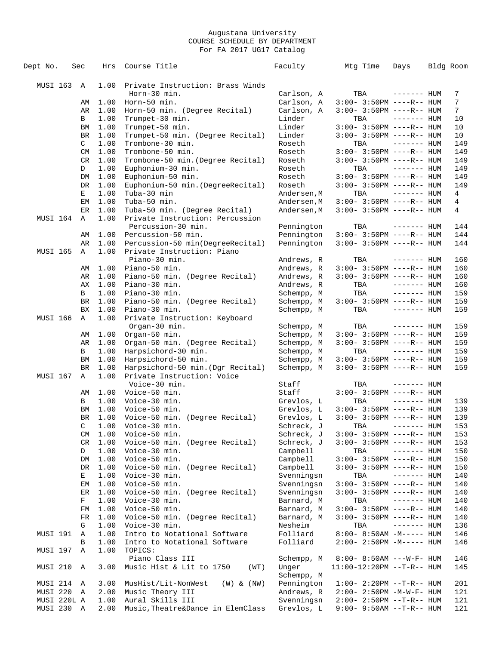| Dept No.        | Sec            | Hrs          | Course Title                                           | Faculty                  | Mtg Time                           | Days                         | Bldg Room      |
|-----------------|----------------|--------------|--------------------------------------------------------|--------------------------|------------------------------------|------------------------------|----------------|
|                 |                |              |                                                        |                          |                                    |                              |                |
| MUSI 163        | Α              | 1.00         | Private Instruction: Brass Winds                       |                          |                                    |                              |                |
|                 |                |              | Horn-30 min.                                           | Carlson, A               | TBA                                | $------$ HUM                 | 7              |
|                 | AΜ             | 1.00         | Horn-50 min.                                           | Carlson, A               | $3:00 - 3:50PM$ ----R-- HUM        |                              | 7              |
|                 | AR             | 1.00         | Horn-50 min. (Degree Recital)                          | Carlson, A               | $3:00 - 3:50PM$ ----R-- HUM        |                              | $7\phantom{.}$ |
|                 | В              | 1.00         | Trumpet-30 min.                                        | Linder                   | TBA                                | $------$ HUM                 | 10             |
|                 | ΒM             | 1.00         | Trumpet-50 min.                                        | Linder                   | $3:00 - 3:50PM$ ----R-- HUM        |                              | 10             |
|                 | BR             | 1.00         | Trumpet-50 min. (Degree Recital)                       | Linder                   | $3:00-3:50PM$ ----R-- HUM          |                              | 10             |
|                 | $\mathsf{C}^-$ | 1.00         | Trombone-30 min.                                       | Roseth                   | TBA                                | $------$ HUM                 | 149            |
|                 | CM             | 1.00         | Trombone-50 min.                                       | Roseth                   | $3:00-3:50PM$ ----R-- HUM          |                              | 149            |
|                 | CR<br>D        | 1.00<br>1.00 | Trombone-50 min. (Degree Recital)<br>Euphonium-30 min. | Roseth<br>Roseth         | $3:00-3:50PM$ ----R-- HUM<br>TBA   | $------$ HUM                 | 149<br>149     |
|                 | DM             | 1.00         | Euphonium-50 min.                                      | Roseth                   | $3:00 - 3:50PM$ ----R-- HUM        |                              | 149            |
|                 | <b>DR</b>      | 1.00         | Euphonium-50 min. (DegreeRecital)                      | Roseth                   | $3:00 - 3:50PM$ ----R-- HUM        |                              | 149            |
|                 | Е              | 1.00         | Tuba-30 min                                            | Andersen, M              | TBA                                | $------$ HUM                 | 4              |
|                 | EМ             | 1.00         | Tuba-50 min.                                           | Andersen, M              | $3:00-3:50PM$ ----R-- HUM          |                              | 4              |
|                 | ER             | 1.00         | Tuba-50 min. (Degree Recital)                          | Andersen, M              | $3:00-3:50PM$ ----R-- HUM          |                              | 4              |
| MUSI 164        | A              | 1.00         | Private Instruction: Percussion                        |                          |                                    |                              |                |
|                 |                |              | Percussion-30 min.                                     | Pennington               | TBA                                | $------$ HUM                 | 144            |
|                 | AΜ             | 1.00         | Percussion-50 min.                                     | Pennington               | $3:00 - 3:50PM$ ----R-- HUM        |                              | 144            |
|                 | AR             | 1.00         | Percussion-50 min(DegreeRecital)                       | Pennington               | $3:00 - 3:50PM$ ----R-- HUM        |                              | 144            |
| <b>MUSI 165</b> | Α              | 1.00         | Private Instruction: Piano                             |                          |                                    |                              |                |
|                 |                |              | Piano-30 min.                                          | Andrews, R               | TBA                                | $------$ HUM                 | 160            |
|                 | AΜ             | 1.00         | Piano-50 min.                                          | Andrews, R               | $3:00-3:50PM$ ----R-- HUM          |                              | 160            |
|                 | AR             | 1.00<br>1.00 | Piano-50 min. (Degree Recital)                         | Andrews, R               | $3:00-3:50PM$ ----R-- HUM          |                              | 160            |
|                 | АX<br>B        | 1.00         | Piano-30 min.<br>Piano-30 min.                         | Andrews, R<br>Schempp, M | TBA<br>TBA                         | $------$ HUM<br>$------$ HUM | 160<br>159     |
|                 | <b>BR</b>      | 1.00         | Piano-50 min. (Degree Recital)                         | Schempp, M               | $3:00 - 3:50PM$ ----R-- HUM        |                              | 159            |
|                 | <b>BX</b>      | 1.00         | Piano-30 min.                                          | Schempp, M               | TBA                                | $------$ HUM                 | 159            |
| MUSI 166        | Α              | 1.00         | Private Instruction: Keyboard                          |                          |                                    |                              |                |
|                 |                |              | Organ-30 min.                                          | Schempp, M               | TBA                                | $------$ HUM                 | 159            |
|                 | AΜ             | 1.00         | Organ-50 min.                                          | Schempp, M               | $3:00-3:50PM$ ----R-- HUM          |                              | 159            |
|                 | AR             | 1.00         | Organ-50 min. (Degree Recital)                         | Schempp, M               | $3:00-3:50PM$ ----R-- HUM          |                              | 159            |
|                 | B              | 1.00         | Harpsichord-30 min.                                    | Schempp, M               | TBA                                | $------$ HUM                 | 159            |
|                 | BM             | 1.00         | Harpsichord-50 min.                                    | Schempp, M               | $3:00-3:50PM$ ----R-- HUM          |                              | 159            |
|                 | BR             | 1.00         | Harpsichord-50 min. (Dgr Recital)                      | Schempp, M               | $3:00-3:50PM$ ----R-- HUM          |                              | 159            |
| MUSI 167        | Α              | 1.00         | Private Instruction: Voice                             |                          |                                    |                              |                |
|                 |                |              | Voice-30 min.                                          | Staff                    | TBA                                | $------$ HUM                 |                |
|                 | AΜ             | 1.00         | Voice-50 min.                                          | Staff                    | $3:00-3:50PM$ ----R-- HUM          |                              |                |
|                 | B<br>ΒM        | 1.00<br>1.00 | Voice-30 min.<br>Voice-50 min.                         | Grevlos, L<br>Grevlos, L | TBA<br>$3:00 - 3:50PM$ ----R-- HUM | $------$ HUM                 | 139<br>139     |
|                 | BR             | 1.00         | Voice-50 min. (Degree Recital)                         | Grevlos, L               | $3:00 - 3:50PM$ ----R-- HUM        |                              | 139            |
|                 | C              | 1.00         | Voice-30 min.                                          | Schreck, J               | TBA                                | $------$ HUM                 | 153            |
|                 | CM             | 1.00         | Voice-50 min.                                          | Schreck, J               | $3:00 - 3:50PM$ ----R-- HUM        |                              | 153            |
|                 | CR             | 1.00         | Voice-50 min. (Degree Recital)                         | Schreck, J               | $3:00 - 3:50PM$ ----R-- HUM        |                              | 153            |
|                 | D              | 1.00         | Voice-30 min.                                          | Campbell                 | TBA                                | $------$ HUM                 | 150            |
|                 | DM             | 1.00         | Voice-50 min.                                          | Campbell                 | $3:00 - 3:50PM$ ----R-- HUM        |                              | 150            |
|                 | DR             | 1.00         | Voice-50 min. (Degree Recital)                         | Campbell                 | $3:00 - 3:50PM$ ----R-- HUM        |                              | 150            |
|                 | Е              | 1.00         | Voice-30 min.                                          | Svenningsn               | TBA                                | $------$ HUM                 | 140            |
|                 | ЕM             | 1.00         | Voice-50 min.                                          | Svenningsn               | $3:00-3:50PM$ ----R-- HUM          |                              | 140            |
|                 | ER             | 1.00         | Voice-50 min. (Degree Recital)                         | Svenningsn               | 3:00- 3:50PM ----R-- HUM           |                              | 140            |
|                 | F              | 1.00         | Voice-30 min.                                          | Barnard, M               | TBA                                | $------$ HUM                 | 140            |
|                 | FM             | 1.00         | Voice-50 min.                                          | Barnard, M               | $3:00-3:50PM$ ----R-- HUM          |                              | 140            |
|                 | FR             | 1.00         | Voice-50 min. (Degree Recital)                         | Barnard, M               | $3:00 - 3:50PM$ ----R-- HUM        |                              | 140            |
| MUSI 191        | G<br>Α         | 1.00<br>1.00 | Voice-30 min.<br>Intro to Notational Software          | Nesheim<br>Folliard      | TBA<br>$8:00-8:50AM -M---HUM$      | $------$ HUM                 | 136<br>146     |
|                 | В              | 1.00         | Intro to Notational Software                           | Folliard                 | 2:00- 2:50PM -M----- HUM           |                              | 146            |
| MUSI 197        | Α              | 1.00         | TOPICS:                                                |                          |                                    |                              |                |
|                 |                |              | Piano Class III                                        | Schempp, M               | $8:00 - 8:50AM$ ---W-F- HUM        |                              | 146            |
| MUSI 210        | Α              | 3.00         | Music Hist & Lit to 1750<br>(WT)                       | Unger                    | 11:00-12:20PM --T-R-- HUM          |                              | 145            |
|                 |                |              |                                                        | Schempp, M               |                                    |                              |                |
| MUSI 214        | Α              | 3.00         | MusHist/Lit-NonWest<br>$(W)$ & $(NW)$                  | Pennington               | $1:00 - 2:20PM -T-R--HUM$          |                              | 201            |
| MUSI 220        | Α              | 2.00         | Music Theory III                                       | Andrews, R               | 2:00- 2:50PM -M-W-F- HUM           |                              | 121            |
| MUSI 220L A     |                | 1.00         | Aural Skills III                                       | Svenningsn               | 2:00- 2:50PM --T-R-- HUM           |                              | 121            |
| MUSI 230 A      |                | 2.00         | Music, Theatre&Dance in ElemClass                      | Grevlos, L               | 9:00- 9:50AM --T-R-- HUM           |                              | 121            |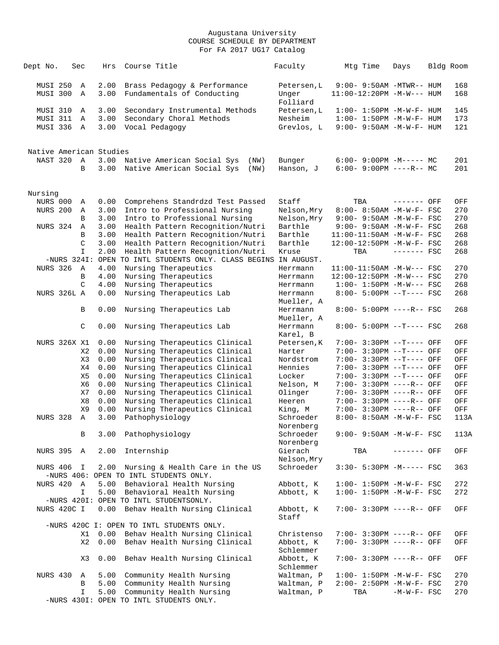| Dept No.                    | Sec                 |                | Hrs          | Course Title                                                                   | Faculty                | Mtg Time                                                | Days          | Bldg Room  |
|-----------------------------|---------------------|----------------|--------------|--------------------------------------------------------------------------------|------------------------|---------------------------------------------------------|---------------|------------|
| <b>MUSI 250</b><br>MUSI 300 |                     | Α<br>Α         | 2.00<br>3.00 | Brass Pedagogy & Performance<br>Fundamentals of Conducting                     | Petersen, L<br>Unger   | 9:00- 9:50AM -MTWR-- HUM<br>$11:00-12:20PM -M-W---$ HUM |               | 168<br>168 |
|                             |                     |                |              |                                                                                | Folliard               |                                                         |               |            |
| MUSI 310                    |                     | Α              | 3.00         | Secondary Instrumental Methods                                                 | Petersen, L            | $1:00 - 1:50PM -M-W-F- HUM$                             |               | 145        |
| MUSI 311                    |                     | Α              | 3.00         | Secondary Choral Methods                                                       | Nesheim                | $1:00 - 1:50PM -M-W-F - HUM$                            |               | 173        |
| MUSI 336                    |                     | Α              | 3.00         | Vocal Pedagogy                                                                 | Grevlos, L             | $9:00 - 9:50AM - M - W - F - HUM$                       |               | 121        |
| Native American Studies     |                     |                |              |                                                                                |                        |                                                         |               |            |
| NAST 320                    |                     | Α              | 3.00         | Native American Social Sys<br>(NW)                                             | Bunger                 | $6:00-9:00PM -M--- MC$                                  |               | 201        |
|                             |                     | B              | 3.00         | Native American Social Sys<br>(NW)                                             | Hanson, J              | $6:00 - 9:00PM$ ----R-- MC                              |               | 201        |
| Nursing                     |                     |                |              |                                                                                |                        |                                                         |               |            |
| NURS 000                    |                     | Α              | 0.00         | Comprehens Standrdzd Test Passed                                               | Staff                  | TBA                                                     | ------- OFF   | OFF        |
| <b>NURS 200</b>             |                     | Α              | 3.00         | Intro to Professional Nursing                                                  | Nelson, Mry            | 8:00- 8:50AM -M-W-F- FSC                                |               | 270        |
|                             |                     | B              | 3.00         | Intro to Professional Nursing                                                  | Nelson, Mry            | $9:00 - 9:50AM - M - W - F - FSC$                       |               | 270        |
| NURS 324                    |                     | Α              | 3.00         | Health Pattern Recognition/Nutri                                               | Barthle                | 9:00- 9:50AM -M-W-F- FSC                                |               | 268        |
|                             |                     | B              | 3.00         | Health Pattern Recognition/Nutri                                               | Barthle                | 11:00-11:50AM -M-W-F- FSC                               |               | 268        |
|                             |                     | C              | 3.00         | Health Pattern Recognition/Nutri                                               | Barthle                | 12:00-12:50PM -M-W-F- FSC                               |               | 268        |
|                             |                     | $\mathbf{I}$   | 2.00         | Health Pattern Recognition/Nutri                                               | Kruse                  | TBA                                                     | $------$ FSC  | 268        |
|                             | $-NURS$ 3241:       |                | OPEN         | TO INTL STUDENTS ONLY. CLASS BEGINS IN AUGUST.                                 |                        |                                                         |               |            |
| <b>NURS 326</b>             |                     | Α              | 4.00         | Nursing Therapeutics                                                           | Herrmann               | $11:00-11:50AM$ -M-W--- FSC                             |               | 270        |
|                             |                     | B              | 4.00         | Nursing Therapeutics                                                           | Herrmann               | 12:00-12:50PM -M-W--- FSC                               |               | 270        |
|                             |                     | C              | 4.00         | Nursing Therapeutics                                                           | Herrmann               | $1:00 - 1:50PM - M-W--- FSC$                            |               | 268        |
|                             | NURS 326L A         |                | 0.00         | Nursing Therapeutics Lab                                                       | Herrmann<br>Mueller, A | 8:00- 5:00PM --T---- FSC                                |               | 268        |
|                             |                     | B              | 0.00         | Nursing Therapeutics Lab                                                       | Herrmann<br>Mueller, A | 8:00- 5:00PM ----R-- FSC                                |               | 268        |
|                             |                     | C              | 0.00         | Nursing Therapeutics Lab                                                       | Herrmann<br>Karel, B   | 8:00- 5:00PM --T---- FSC                                |               | 268        |
|                             | <b>NURS 326X X1</b> |                | 0.00         | Nursing Therapeutics Clinical                                                  | Petersen, K            | 7:00- 3:30PM --T---- OFF                                |               | OFF        |
|                             |                     | X2             | 0.00         | Nursing Therapeutics Clinical                                                  | Harter                 | 7:00- 3:30PM --T---- OFF                                |               | OFF        |
|                             |                     | X3             | 0.00         | Nursing Therapeutics Clinical                                                  | Nordstrom              | 7:00- 3:30PM --T---- OFF                                |               | OFF        |
|                             |                     | X4             | 0.00         | Nursing Therapeutics Clinical                                                  | Hennies                | 7:00- 3:30PM --T---- OFF                                |               | OFF        |
|                             |                     | X5             | 0.00         | Nursing Therapeutics Clinical                                                  | Locker                 | 7:00- 3:30PM --T---- OFF                                |               | OFF        |
|                             |                     | X6             | 0.00         | Nursing Therapeutics Clinical                                                  | Nelson, M              | 7:00- 3:30PM ----R-- OFF                                |               | OFF        |
|                             |                     | X7             | 0.00         | Nursing Therapeutics Clinical                                                  | Olinger                | 7:00- 3:30PM ----R-- OFF                                |               | OFF        |
|                             |                     | X8             | 0.00         | Nursing Therapeutics Clinical                                                  | Heeren                 | 7:00- 3:30PM ----R-- OFF                                |               | OFF        |
|                             |                     | X9             | 0.00         | Nursing Therapeutics Clinical                                                  | King, M                | 7:00- 3:30PM ----R-- OFF                                |               | OFF        |
| <b>NURS 328</b>             |                     | Α              | 3.00         | Pathophysiology                                                                | Schroeder<br>Norenberg | 8:00- 8:50AM -M-W-F- FSC                                |               | 113A       |
|                             |                     | B              | 3.00         | Pathophysiology                                                                | Schroeder<br>Norenberg | 9:00- 9:50AM -M-W-F- FSC                                |               | 113A       |
|                             | NURS 395 A          |                | 2.00         | Internship                                                                     | Gierach<br>Nelson, Mry | TBA                                                     | ------- OFF   | OFF        |
| NURS 406                    |                     | $\mathbf{I}$   |              | 2.00 Nursing & Health Care in the US<br>-NURS 406: OPEN TO INTL STUDENTS ONLY. | Schroeder              | $3:30 - 5:30PM -M--- FSC$                               |               | 363        |
| NURS 420                    |                     | $\overline{A}$ | 5.00         | Behavioral Health Nursing                                                      | Abbott, K              | $1:00 - 1:50PM - M - W - F - FSC$                       |               | 272        |
|                             |                     | I              | 5.00         | Behavioral Health Nursing                                                      | Abbott, K              | $1:00 - 1:50PM - M - W - F - FSC$                       |               | 272        |
|                             |                     |                |              | -NURS 4201: OPEN TO INTL STUDENTSONLY.                                         |                        |                                                         |               |            |
|                             | NURS 420C I         |                | 0.00         | Behav Health Nursing Clinical                                                  | Abbott, K<br>Staff     | 7:00- 3:30PM ----R-- OFF                                |               | OFF        |
|                             |                     |                |              | -NURS 420C I: OPEN TO INTL STUDENTS ONLY.                                      |                        |                                                         |               |            |
|                             |                     | X1             | 0.00         | Behav Health Nursing Clinical                                                  | Christenso             | 7:00- 3:30PM ----R-- OFF                                |               | OFF        |
|                             |                     | X <sub>2</sub> | 0.00         | Behav Health Nursing Clinical                                                  | Abbott, K<br>Schlemmer | 7:00- 3:30PM ----R-- OFF                                |               | OFF        |
|                             |                     | X3             | 0.00         | Behav Health Nursing Clinical                                                  | Abbott, K<br>Schlemmer | 7:00- 3:30PM ----R-- OFF                                |               | OFF        |
| NURS 430                    |                     | A              |              | 5.00 Community Health Nursing                                                  | Waltman, P             | $1:00 - 1:50PM - M - W - F - FSC$                       |               | 270        |
|                             |                     | В              |              | 5.00 Community Health Nursing                                                  | Waltman, P             | 2:00- 2:50PM -M-W-F- FSC                                |               | 270        |
|                             |                     | I              | 5.00         | Community Health Nursing                                                       | Waltman, P             | TBA                                                     | $-M-W-F-$ FSC | 270        |
|                             |                     |                |              | -NURS 430I: OPEN TO INTL STUDENTS ONLY.                                        |                        |                                                         |               |            |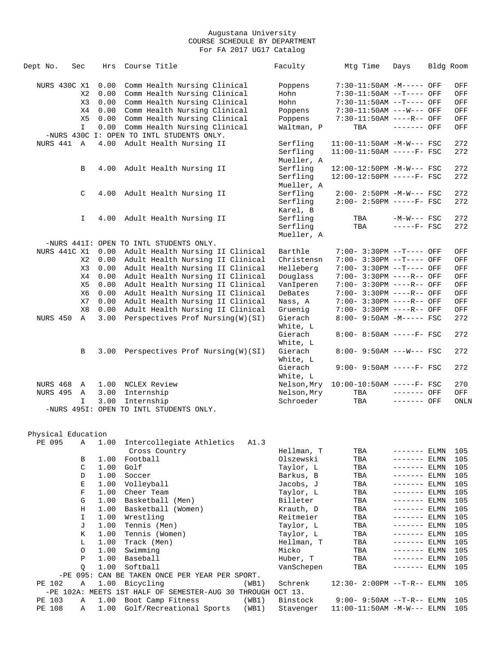| Dept No.           | Sec          | Hrs  | Course Title                                                | Faculty     | Mtg Time                     | Days          | Bldg Room  |      |
|--------------------|--------------|------|-------------------------------------------------------------|-------------|------------------------------|---------------|------------|------|
| NURS 430C X1       |              | 0.00 | Comm Health Nursing Clinical                                | Poppens     | 7:30-11:50AM -M----- OFF     |               |            | OFF  |
|                    | X2           | 0.00 | Comm Health Nursing Clinical                                | Hohn        | 7:30-11:50AM --T---- OFF     |               |            | OFF  |
|                    | X3           | 0.00 | Comm Health Nursing Clinical                                | Hohn        | 7:30-11:50AM --T---- OFF     |               |            | OFF  |
|                    | X4           | 0.00 | Comm Health Nursing Clinical                                | Poppens     | $7:30-11:50AM$ ---W--- OFF   |               |            | OFF  |
|                    | X5           | 0.00 | Comm Health Nursing Clinical                                | Poppens     | 7:30-11:50AM ----R-- OFF     |               |            | OFF  |
|                    | $\mathbf{I}$ | 0.00 | Comm Health Nursing Clinical                                | Waltman, P  | TBA                          | ------- OFF   |            | OFF  |
|                    |              |      | -NURS 430C I: OPEN TO INTL STUDENTS ONLY.                   |             |                              |               |            |      |
| NURS 441 A         |              | 4.00 | Adult Health Nursing II                                     | Serfling    | $11:00-11:50AM -M-W--- FSC$  |               |            | 272  |
|                    |              |      |                                                             | Serfling    | $11:00-11:50AM$ -----F- FSC  |               |            | 272  |
|                    |              |      |                                                             |             |                              |               |            |      |
|                    |              |      |                                                             | Mueller, A  |                              |               |            |      |
|                    | B            | 4.00 | Adult Health Nursing II                                     | Serfling    | 12:00-12:50PM -M-W--- FSC    |               |            | 272  |
|                    |              |      |                                                             | Serfling    | 12:00-12:50PM -----F- FSC    |               |            | 272  |
|                    |              |      |                                                             | Mueller, A  |                              |               |            |      |
|                    | C            | 4.00 | Adult Health Nursing II                                     | Serfling    | $2:00-2:50PM -M-W--- FSC$    |               |            | 272  |
|                    |              |      |                                                             | Serfling    | $2:00 - 2:50PM$ -----F- FSC  |               |            | 272  |
|                    |              |      |                                                             | Karel, B    |                              |               |            |      |
|                    | I.           | 4.00 | Adult Health Nursing II                                     | Serfling    | TBA                          | $-M-W---$ FSC |            | 272  |
|                    |              |      |                                                             | Serfling    | TBA                          | $---FF-$ FSC  |            | 272  |
|                    |              |      |                                                             | Mueller, A  |                              |               |            |      |
|                    |              |      | -NURS 441I: OPEN TO INTL STUDENTS ONLY.                     |             |                              |               |            |      |
| NURS 441C X1       |              | 0.00 | Adult Health Nursing II Clinical                            | Barthle     | 7:00- 3:30PM --T---- OFF     |               |            | OFF  |
|                    | X2           | 0.00 | Adult Health Nursing II Clinical                            | Christensn  | 7:00- 3:30PM --T---- OFF     |               |            | OFF  |
|                    | X3           | 0.00 | Adult Health Nursing II Clinical                            | Helleberg   | 7:00- 3:30PM --T---- OFF     |               |            | OFF  |
|                    | X4           | 0.00 | Adult Health Nursing II Clinical                            | Douglass    | 7:00- 3:30PM ----R-- OFF     |               |            | OFF  |
|                    | X5           | 0.00 | Adult Health Nursing II Clinical                            | VanIperen   | 7:00- 3:30PM ----R-- OFF     |               |            | OFF  |
|                    | X6           | 0.00 | Adult Health Nursing II Clinical                            | DeBates     | 7:00- 3:30PM ----R-- OFF     |               |            | OFF  |
|                    | X7           | 0.00 | Adult Health Nursing II Clinical                            | Nass, A     | 7:00- 3:30PM ----R-- OFF     |               |            | OFF  |
|                    | X8           | 0.00 | Adult Health Nursing II Clinical                            | Gruenig     | 7:00- 3:30PM ----R-- OFF     |               |            | OFF  |
| NURS 450           | A            | 3.00 | Perspectives Prof Nursing(W)(SI)                            | Gierach     | 8:00- 9:50AM -M----- FSC     |               |            | 272  |
|                    |              |      |                                                             | White, L    |                              |               |            |      |
|                    |              |      |                                                             | Gierach     | 8:00- 8:50AM -----F- FSC     |               |            | 272  |
|                    |              |      |                                                             | White, L    |                              |               |            |      |
|                    | В            | 3.00 | Perspectives Prof Nursing(W)(SI)                            | Gierach     | 8:00- 9:50AM ---W--- FSC     |               |            | 272  |
|                    |              |      |                                                             | White, L    |                              |               |            |      |
|                    |              |      |                                                             | Gierach     | $9:00 - 9:50AM$ -----F- FSC  |               |            | 272  |
|                    |              |      |                                                             | White, L    |                              |               |            |      |
| NURS 468           | A            | 1.00 | NCLEX Review                                                | Nelson, Mry | $10:00-10:50AM$ -----F- FSC  |               |            | 270  |
| NURS 495           | $\mathbb{A}$ |      | Internship                                                  | Nelson, Mry | TBA                          | $------$ OFF  |            | OFF  |
|                    |              | 3.00 |                                                             |             |                              |               |            |      |
|                    | I            | 3.00 | Internship<br>-NURS 4951: OPEN TO INTL STUDENTS ONLY.       | Schroeder   | TBA                          | ------- OFF   |            | ONLN |
|                    |              |      |                                                             |             |                              |               |            |      |
|                    |              |      |                                                             |             |                              |               |            |      |
| Physical Education |              |      |                                                             |             |                              |               |            |      |
| PE 095             | Α            | 1.00 | Intercollegiate Athletics<br>A1.3                           |             |                              |               |            |      |
|                    |              |      | Cross Country                                               | Hellman, T  | TBA                          | $------$ ELMN |            | 105  |
|                    | В            | 1.00 | Football                                                    | Olszewski   | TBA                          | ------- ELMN  |            | 105  |
|                    | C            | 1.00 | Golf                                                        | Taylor, L   | TBA                          | ------- ELMN  |            | 105  |
|                    | D            | 1.00 | Soccer                                                      | Barkus, B   | TBA                          | ------- ELMN  |            | 105  |
|                    | Е            | 1.00 | Volleyball                                                  | Jacobs, J   | TBA                          | ------- ELMN  |            | 105  |
|                    | $\mathbf F$  | 1.00 | Cheer Team                                                  |             |                              |               |            |      |
|                    |              |      |                                                             | Taylor, L   | TBA                          |               | $---$ ELMN | 105  |
|                    | G            | 1.00 | Basketball (Men)                                            | Billeter    | TBA                          |               | ---- ELMN  | 105  |
|                    | Η            | 1.00 | Basketball (Women)                                          | Krauth, D   | TBA                          | $------ELMN$  |            | 105  |
|                    | I            | 1.00 | Wrestling                                                   | Reitmeier   | TBA                          | ------- ELMN  |            | 105  |
|                    | J            | 1.00 | Tennis (Men)                                                | Taylor, L   | TBA                          | ------- ELMN  |            | 105  |
|                    | Κ            | 1.00 | Tennis (Women)                                              | Taylor, L   | TBA                          | ------- ELMN  |            | 105  |
|                    | L            | 1.00 | Track (Men)                                                 | Hellman, T  | TBA                          | ------- ELMN  |            | 105  |
|                    | O            | 1.00 | Swimming                                                    | Micko       | TBA                          | ------- ELMN  |            | 105  |
|                    | $\, {\bf P}$ | 1.00 | Baseball                                                    | Huber, T    | TBA                          |               | ---- ELMN  | 105  |
|                    | Q            | 1.00 | Softball                                                    | VanSchepen  | TBA                          | ------- ELMN  |            | 105  |
|                    |              |      | -PE 095: CAN BE TAKEN ONCE PER YEAR PER SPORT.              |             |                              |               |            |      |
| PE 102             | Α            | 1.00 | Bicycling<br>(WB1)                                          | Schrenk     | 12:30- 2:00PM --T-R-- ELMN   |               |            | 105  |
|                    |              |      | -PE 102A: MEETS 1ST HALF OF SEMESTER-AUG 30 THROUGH OCT 13. |             |                              |               |            |      |
| PE 103             | Α            | 1.00 | Boot Camp Fitness<br>(WB1)                                  | Binstock    | 9:00- 9:50AM --T-R-- ELMN    |               |            | 105  |
| PE 108             | Α            | 1.00 | Golf/Recreational Sports<br>(WB1)                           | Stavenger   | $11:00-11:50AM -M-W---$ ELMN |               |            | 105  |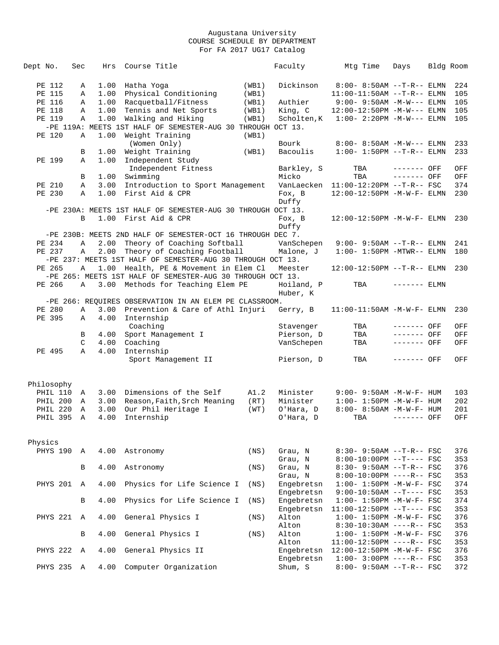| Dept No.        | Sec          | Hrs  | Course Title                                                |       | Faculty     | Mtg Time                             | Days         | Bldg Room |     |
|-----------------|--------------|------|-------------------------------------------------------------|-------|-------------|--------------------------------------|--------------|-----------|-----|
|                 |              |      |                                                             |       |             |                                      |              |           |     |
| PE 112          | Α            | 1.00 | Hatha Yoga                                                  | (WB1) | Dickinson   | $8:00-8:50AM --T-R--ELMN$            |              |           | 224 |
| PE 115          | Α            | 1.00 | Physical Conditioning                                       | (WB1) |             | $11:00-11:50AM$ --T-R-- ELMN         |              |           | 105 |
| PE 116          | Α            | 1.00 | Racquetball/Fitness                                         | (WB1) | Authier     | $9:00 - 9:50AM -M-W---$ ELMN         |              |           | 105 |
| PE 118          | Α            | 1.00 | Tennis and Net Sports                                       | (WB1) | King, C     | 12:00-12:50PM -M-W--- ELMN           |              |           | 105 |
| PE 119          | Α            | 1.00 | Walking and Hiking                                          | (WB1) | Scholten, K | $1:00-2:20PM -M-W---$ ELMN           |              |           | 105 |
|                 |              |      | -PE 119A: MEETS 1ST HALF OF SEMESTER-AUG 30 THROUGH OCT 13. |       |             |                                      |              |           |     |
| PE 120          | Α            | 1.00 | Weight Training                                             | (WB1) |             |                                      |              |           |     |
|                 |              |      | (Women Only)                                                |       | Bourk       | $8:00 - 8:50AM - M-W---$ ELMN        |              |           | 233 |
|                 | В            | 1.00 | Weight Training                                             | (WB1) | Bacoulis    | $1:00 - 1:50PM -T-R-- ELMN$          |              |           | 233 |
| PE 199          | Α            | 1.00 | Independent Study                                           |       |             |                                      |              |           |     |
|                 |              |      | Independent Fitness                                         |       | Barkley, S  | TBA                                  | ------- OFF  |           | OFF |
|                 | В            |      | 1.00 Swimming                                               |       | Micko       | TBA                                  | $------$ OFF |           | OFF |
| PE 210          | Α            | 3.00 | Introduction to Sport Management                            |       |             | VanLaecken 11:00-12:20PM --T-R-- FSC |              |           | 374 |
| PE 230          | Α            | 1.00 | First Aid & CPR                                             |       | Fox, B      | 12:00-12:50PM -M-W-F- ELMN           |              |           | 230 |
|                 |              |      |                                                             |       | Duffy       |                                      |              |           |     |
|                 |              |      | -PE 230A: MEETS 1ST HALF OF SEMESTER-AUG 30 THROUGH OCT 13. |       |             |                                      |              |           |     |
|                 | B            |      | 1.00 First Aid & CPR                                        |       | Fox, B      | 12:00-12:50PM -M-W-F- ELMN           |              |           | 230 |
|                 |              |      |                                                             |       | Duffy       |                                      |              |           |     |
|                 |              |      | -PE 230B: MEETS 2ND HALF OF SEMESTER-OCT 16 THROUGH DEC 7.  |       |             |                                      |              |           |     |
| PE 234          | Α            | 2.00 | Theory of Coaching Softball                                 |       | VanSchepen  | $9:00 - 9:50AM$ --T-R-- ELMN         |              |           | 241 |
| PE 237          | Α            | 2.00 | Theory of Coaching Football                                 |       | Malone, J   | $1:00-1:50PM -MTWR--ELMN$            |              |           | 180 |
|                 |              |      | -PE 237: MEETS 1ST HALF OF SEMESTER-AUG 30 THROUGH OCT 13.  |       |             |                                      |              |           |     |
| PE 265          | Α            | 1.00 | Health, PE & Movement in Elem Cl                            |       | Meester     | $12:00-12:50PM -T-R-- ELMN$          |              |           | 230 |
|                 |              |      | -PE 265: MEETS 1ST HALF OF SEMESTER-AUG 30 THROUGH OCT 13.  |       |             |                                      |              |           |     |
| PE 266          | Α            | 3.00 | Methods for Teaching Elem PE                                |       | Hoiland, P  | TBA                                  | $------ELMN$ |           |     |
|                 |              |      |                                                             |       | Huber, K    |                                      |              |           |     |
|                 |              |      | -PE 266: REQUIRES OBSERVATION IN AN ELEM PE CLASSROOM.      |       |             |                                      |              |           |     |
| PE 280          | Α            | 3.00 | Prevention & Care of Athl Injuri                            |       | Gerry, B    | $11:00-11:50AM - M-W-F- ELMN$        |              |           | 230 |
| PE 395          | Α            | 4.00 | Internship                                                  |       |             |                                      |              |           |     |
|                 |              |      | Coaching                                                    |       | Stavenger   | TBA                                  | ------- OFF  |           | OFF |
|                 | В            | 4.00 | Sport Management I                                          |       | Pierson, D  | TBA                                  | ------- OFF  |           | OFF |
|                 | C            | 4.00 | Coaching                                                    |       | VanSchepen  | TBA                                  | ------- OFF  |           | OFF |
| PE 495          | $\mathbb{A}$ | 4.00 | Internship                                                  |       |             |                                      |              |           |     |
|                 |              |      | Sport Management II                                         |       | Pierson, D  | TBA                                  | ------- OFF  |           | OFF |
|                 |              |      |                                                             |       |             |                                      |              |           |     |
|                 |              |      |                                                             |       |             |                                      |              |           |     |
| Philosophy      |              |      |                                                             |       |             |                                      |              |           |     |
| PHIL 110        | Α            | 3.00 | Dimensions of the Self                                      | A1.2  | Minister    | $9:00 - 9:50AM - M - W - F - HUM$    |              |           | 103 |
| PHIL 200        | A            | 3.00 | Reason, Faith, Srch Meaning                                 | (RT)  | Minister    | $1:00 - 1:50PM -M-W-F - HUM$         |              |           | 202 |
| PHIL 220        | A            | 3.00 | Our Phil Heritage I                                         | (WT)  | O'Hara, D   | $8:00 - 8:50AM - M - W - F - HUM$    |              |           | 201 |
| <b>PHIL 395</b> | Α            | 4.00 | Internship                                                  |       | O'Hara, D   | TBA                                  | ------- OFF  |           | OFF |
|                 |              |      |                                                             |       |             |                                      |              |           |     |
|                 |              |      |                                                             |       |             |                                      |              |           |     |
| Physics         |              |      |                                                             |       |             |                                      |              |           |     |
| PHYS 190        | A            | 4.00 | Astronomy                                                   | (NS)  | Grau, N     | $8:30 - 9:50AM -T-R--FSC$            |              |           | 376 |
|                 |              |      |                                                             |       | Grau, N     | 8:00-10:00PM --T---- FSC             |              |           | 353 |
|                 | B            | 4.00 | Astronomy                                                   | (NS)  | Grau, N     | 8:30- 9:50AM --T-R-- FSC             |              |           | 376 |
|                 |              |      |                                                             |       | Grau, N     | $8:00-10:00PM$ ----R-- FSC           |              |           | 353 |
| PHYS 201        | $\mathbb{A}$ | 4.00 | Physics for Life Science I                                  | (NS)  | Engebretsn  | $1:00 - 1:50PM - M - W - F - FSC$    |              |           | 374 |
|                 |              |      |                                                             |       | Engebretsn  | $9:00-10:50AM$ --T---- FSC           |              |           | 353 |
|                 | В            | 4.00 | Physics for Life Science I                                  | (NS)  | Engebretsn  | $1:00 - 1:50PM - M - W - F - FSC$    |              |           | 374 |
|                 |              |      |                                                             |       | Engebretsn  | $11:00-12:50PM$ --T---- FSC          |              |           | 353 |
| PHYS 221        | Α            | 4.00 | General Physics I                                           | (NS)  | Alton       | $1:00 - 1:50PM - M - W - F - FSC$    |              |           | 376 |
|                 |              |      |                                                             |       | Alton       | $8:30-10:30AM$ ----R-- FSC           |              |           | 353 |
|                 | B            | 4.00 | General Physics I                                           | (NS)  | Alton       | $1:00 - 1:50PM - M - W - F - FSC$    |              |           | 376 |
|                 |              |      |                                                             |       | Alton       | $11:00-12:50PM$ ----R-- FSC          |              |           | 353 |
| PHYS 222        | A            | 4.00 | General Physics II                                          |       | Engebretsn  | 12:00-12:50PM -M-W-F- FSC            |              |           | 376 |
|                 |              |      |                                                             |       | Engebretsn  | $1:00-3:00PM$ ----R-- FSC            |              |           | 353 |
| PHYS 235        | $\mathbb{A}$ | 4.00 | Computer Organization                                       |       | Shum, S     | 8:00- 9:50AM --T-R-- FSC             |              |           | 372 |
|                 |              |      |                                                             |       |             |                                      |              |           |     |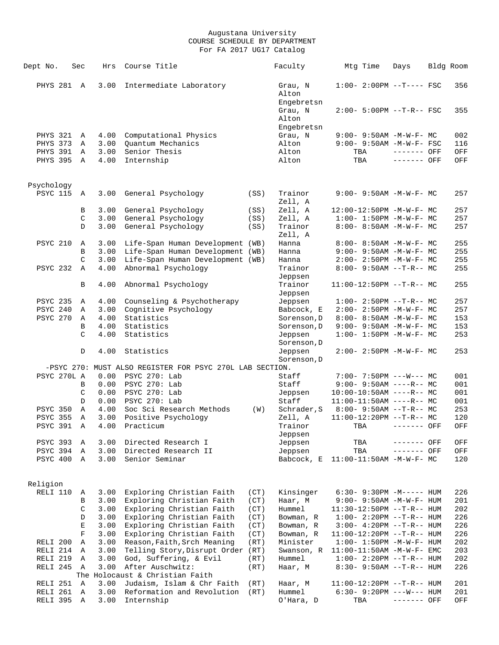| Dept No.                    | Sec           | Hrs          | Course Title                                                         |      | Faculty                        |     | Mtg Time | Days                                      | Bldg Room  |
|-----------------------------|---------------|--------------|----------------------------------------------------------------------|------|--------------------------------|-----|----------|-------------------------------------------|------------|
| PHYS 281 A                  |               | 3.00         | Intermediate Laboratory                                              |      | Grau, N<br>Alton<br>Engebretsn |     |          | $1:00-2:00PM$ --T---- FSC                 | 356        |
|                             |               |              |                                                                      |      | Grau, N<br>Alton               |     |          | 2:00- 5:00PM --T-R-- FSC                  | 355        |
| <b>PHYS 321</b>             | Α             | 4.00         | Computational Physics                                                |      | Engebretsn<br>Grau, N          |     |          | $9:00 - 9:50AM - M-W-F - MC$              | 002        |
| PHYS 373                    | A             | 3.00         | Ouantum Mechanics                                                    |      | Alton                          |     |          | 9:00- 9:50AM -M-W-F- FSC                  | 116        |
| PHYS 391                    | A             | 3.00         | Senior Thesis                                                        |      | Alton                          |     | TBA      | ------- OFF                               | OFF        |
| PHYS 395                    | A             | 4.00         | Internship                                                           |      | Alton                          | TBA |          | ------- OFF                               | OFF        |
|                             |               |              |                                                                      |      |                                |     |          |                                           |            |
| Psychology                  |               |              |                                                                      |      |                                |     |          |                                           |            |
| <b>PSYC 115</b>             | Α             | 3.00         | General Psychology                                                   | (SS) | Trainor<br>Zell, A             |     |          | $9:00 - 9:50AM - M-W-F - MC$              | 257        |
|                             | В             | 3.00         | General Psychology                                                   | (SS) | Zell, A                        |     |          | 12:00-12:50PM -M-W-F- MC                  | 257        |
|                             | C             | 3.00         | General Psychology                                                   | (SS) | Zell, A                        |     |          | $1:00 - 1:50PM - M - W - F - MC$          | 257        |
|                             | D             | 3.00         | General Psychology                                                   | (SS) | Trainor                        |     |          | 8:00- 8:50AM -M-W-F- MC                   | 257        |
| <b>PSYC 210</b>             |               |              |                                                                      |      | Zell, A<br>Hanna               |     |          | 8:00- 8:50AM -M-W-F- MC                   | 255        |
|                             | Α<br>B        | 3.00<br>3.00 | Life-Span Human Development (WB)<br>Life-Span Human Development (WB) |      | Hanna                          |     |          | $9:00 - 9:50AM - M-W-F - MC$              | 255        |
|                             | C             | 3.00         | Life-Span Human Development (WB)                                     |      | Hanna                          |     |          | $2:00-2:50PM -M-W-F-MC$                   | 255        |
| <b>PSYC 232</b>             | Α             | 4.00         | Abnormal Psychology                                                  |      | Trainor                        |     |          | $8:00-9:50AM --T-R--MC$                   | 255        |
|                             |               |              |                                                                      |      | Jeppsen                        |     |          |                                           |            |
|                             | B             | 4.00         | Abnormal Psychology                                                  |      | Trainor<br>Jeppsen             |     |          | 11:00-12:50PM --T-R-- MC                  | 255        |
| <b>PSYC 235</b>             | Α             | 4.00         | Counseling & Psychotherapy                                           |      | Jeppsen                        |     |          | $1:00-2:50PM -T-R--MC$                    | 257        |
| PSYC 240                    | Α             | 3.00         | Cognitive Psychology                                                 |      | Babcock, E                     |     |          | 2:00- 2:50PM -M-W-F- MC                   | 257        |
| <b>PSYC 270</b>             | Α             | 4.00         | Statistics                                                           |      | Sorenson, D                    |     |          | 8:00- 8:50AM -M-W-F- MC                   | 153        |
|                             | B             | 4.00         | Statistics                                                           |      | Sorenson, D                    |     |          | $9:00 - 9:50AM - M - W - F - MC$          | 153        |
|                             | $\mathcal{C}$ | 4.00         | Statistics                                                           |      | Jeppsen<br>Sorenson, D         |     |          | $1:00 - 1:50PM - M - W - F - MC$          | 253        |
|                             | D             | 4.00         | Statistics                                                           |      | Jeppsen<br>Sorenson, D         |     |          | $2:00 - 2:50PM -M-W-F - MC$               | 253        |
|                             |               |              | -PSYC 270: MUST ALSO REGISTER FOR PSYC 270L LAB SECTION.             |      |                                |     |          |                                           |            |
| PSYC 270L A                 |               | 0.00         | PSYC 270: Lab                                                        |      | Staff                          |     |          | $7:00 - 7:50PM$ ---W--- MC                | 001        |
|                             | B             | 0.00         | PSYC 270: Lab                                                        |      | Staff                          |     |          | $9:00 - 9:50AM$ ----R-- MC                | 001        |
|                             | C             | 0.00         | PSYC 270: Lab                                                        |      | Jeppsen                        |     |          | $10:00-10:50AM$ ----R-- MC                | 001        |
|                             | D             | 0.00         | PSYC 270: Lab                                                        |      | Staff                          |     |          | $11:00-11:50AM$ ----R-- MC                | 001        |
| <b>PSYC 350</b>             | Α             | 4.00         | Soc Sci Research Methods                                             | (W)  | Schrader, S                    |     |          | $8:00 - 9:50AM -T-R-- MC$                 | 253        |
| <b>PSYC 355</b>             | Α             | 3.00         | Positive Psychology                                                  |      | Zell, A                        |     |          | $11:00-12:20PM$ --T-R-- MC                | 120        |
| PSYC 391                    | Α             | 4.00         | Practicum                                                            |      | Trainor                        |     | TBA      | ------- OFF                               | OFF        |
|                             |               |              |                                                                      |      | Jeppsen                        |     |          |                                           |            |
| <b>PSYC 393</b><br>PSYC 394 | Α             | 3.00<br>3.00 | Directed Research I                                                  |      | Jeppsen                        |     | TBA      | ------- OFF                               | OFF        |
| PSYC 400                    | Α<br>Α        | 3.00         | Directed Research II<br>Senior Seminar                               |      | Jeppsen<br>Babcock, E          | TBA |          | ------- OFF<br>$11:00-11:50AM$ -M-W-F- MC | OFF<br>120 |
|                             |               |              |                                                                      |      |                                |     |          |                                           |            |
| Religion                    |               |              |                                                                      |      |                                |     |          |                                           |            |
| RELI 110                    | Α             | 3.00         | Exploring Christian Faith                                            | (CT) | Kinsinger                      |     |          | $6:30 - 9:30PM -M--- HUM$                 | 226        |
|                             | B             | 3.00         | Exploring Christian Faith                                            | (CT) | Haar, M                        |     |          | 9:00- 9:50AM -M-W-F- HUM                  | 201        |
|                             | C             | 3.00         | Exploring Christian Faith                                            | (CT) | Hummel                         |     |          | $11:30-12:50PM$ --T-R-- HUM               | 202        |
|                             | D             | 3.00         | Exploring Christian Faith                                            | (CT) | Bowman, R                      |     |          | $1:00-2:20PM -T-R--HUM$                   | 226        |
|                             | $\mathbf E$   | 3.00         | Exploring Christian Faith                                            | (CT) | Bowman, R                      |     |          | $3:00-4:20PM -T-R--HUM$                   | 226        |
|                             | F             | 3.00         | Exploring Christian Faith                                            | (CT) | Bowman, R                      |     |          | $11:00-12:20PM -T-R--HUM$                 | 226        |
| RELI 200                    | Α             | 3.00         | Reason, Faith, Srch Meaning                                          | (RT) | Minister                       |     |          | $1:00 - 1:50PM - M - W - F - HUM$         | 202        |
| RELI 214                    | Α             | 3.00         | Telling Story, Disrupt Order (RT)                                    |      | Swanson, R                     |     |          | $11:00-11:50AM$ -M-W-F- EMC               | 203        |
| RELI 219                    | Α             | 3.00         | God, Suffering, & Evil                                               | (RT) | Hummel                         |     |          | $1:00-2:20PM -T-R--HUM$                   | 202        |
| RELI 245                    | Α             | 3.00         | After Auschwitz:                                                     | (RT) | Haar, M                        |     |          | $8:30 - 9:50AM -T-R-- HUM$                | 226        |
|                             |               |              | The Holocaust & Christian Faith                                      |      |                                |     |          |                                           |            |
| RELI 251                    | A             | 3.00         | Judaism, Islam & Chr Faith                                           | (RT) | Haar, M                        |     |          | $11:00-12:20PM -T-R--HUM$                 | 201        |
| RELI 261                    | Α             | 3.00         | Reformation and Revolution                                           | (RT) | Hummel                         |     |          | $6:30 - 9:20PM$ ---W--- HUM               | 201        |
| RELI 395                    | Α             | 3.00         | Internship                                                           |      | O'Hara, D                      | TBA |          | ------- OFF                               | OFF        |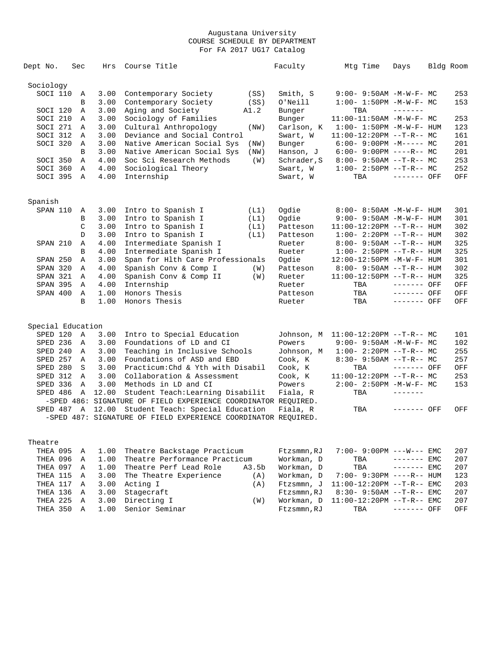| Dept No.          | Sec          | Hrs     | Course Title                                                   | Faculty     | Mtg Time                          | Days         | Bldg Room |
|-------------------|--------------|---------|----------------------------------------------------------------|-------------|-----------------------------------|--------------|-----------|
| Sociology         |              |         |                                                                |             |                                   |              |           |
| SOCI 110          | Α            | 3.00    | Contemporary Society<br>(SS)                                   | Smith, S    | 9:00- 9:50AM -M-W-F- MC           |              | 253       |
|                   | B            | 3.00    | Contemporary Society<br>(SS)                                   | O'Neill     | $1:00 - 1:50PM - M - W - F - MC$  |              | 153       |
| SOCI 120          | Α            | 3.00    | Aging and Society<br>A1.2                                      | Bunger      | TBA                               |              |           |
| SOCI 210          | Α            | 3.00    | Sociology of Families                                          | Bunger      | 11:00-11:50AM -M-W-F- MC          |              | 253       |
| SOCI 271          | Α            | 3.00    | Cultural Anthropology<br>(NW)                                  | Carlson, K  | $1:00 - 1:50PM - M - W - F - HUM$ |              | 123       |
| SOCI 312          | A            | 3.00    | Deviance and Social Control                                    | Swart, W    | $11:00-12:20PM$ --T-R-- MC        |              | 161       |
| SOCI 320          | $\mathbb{A}$ | 3.00    | Native American Social Sys<br>(NW)                             | Bunger      | $6:00-9:00PM -M--- - M$           |              | 201       |
|                   | B            | 3.00    | Native American Social Sys<br>(NW)                             | Hanson, J   | $6:00-9:00PM$ ----R-- MC          |              | 201       |
| SOCI 350          | Α            | 4.00    | Soc Sci Research Methods<br>(W)                                | Schrader, S | $8:00 - 9:50AM -T-R-- MC$         |              | 253       |
| SOCI 360          | $\mathbb{A}$ | 4.00    | Sociological Theory                                            | Swart, W    | $1:00-2:50PM -T-R--MC$            |              | 252       |
| SOCI 395          | $\mathbb A$  | 4.00    | Internship                                                     | Swart, W    | TBA                               | ------- OFF  | OFF       |
| Spanish           |              |         |                                                                |             |                                   |              |           |
| SPAN 110          | Α            | 3.00    | Intro to Spanish I<br>(L1)                                     | Oqdie       | $8:00 - 8:50AM - M - W - F - HUM$ |              | 301       |
|                   | B            | 3.00    | Intro to Spanish I<br>(L1)                                     | Ogdie       | 9:00- 9:50AM -M-W-F- HUM          |              | 301       |
|                   | $\mathsf C$  | 3.00    | Intro to Spanish I<br>(L1)                                     | Patteson    | 11:00-12:20PM --T-R-- HUM         |              | 302       |
|                   | D            | 3.00    | Intro to Spanish I<br>(L1)                                     | Patteson    | $1:00 - 2:20PM -T-R--HUM$         |              | 302       |
| SPAN 210          | Α            | 4.00    | Intermediate Spanish I                                         | Rueter      | $8:00 - 9:50AM -T-R-- HUM$        |              | 325       |
|                   | B            | 4.00    | Intermediate Spanish I                                         | Rueter      | $1:00 - 2:50PM -T-R--HUM$         |              | 325       |
| SPAN 250          | Α            | 3.00    | Span for Hlth Care Professionals                               | Ogdie       | 12:00-12:50PM -M-W-F- HUM         |              | 301       |
| SPAN 320          | $\mathbb{A}$ | 4.00    | Spanish Conv & Comp I<br>(W)                                   | Patteson    | $8:00 - 9:50AM -T-R-- HUM$        |              | 302       |
| SPAN 321          | Α            | 4.00    | Spanish Conv & Comp II<br>(W)                                  | Rueter      | 11:00-12:50PM --T-R-- HUM         |              | 325       |
| <b>SPAN 395</b>   | Α            | 4.00    | Internship                                                     | Rueter      | TBA                               | ------- OFF  | OFF       |
| SPAN 400          | Α            | 1.00    | Honors Thesis                                                  | Patteson    | TBA                               | ------- OFF  | OFF       |
|                   | B            | 1.00    | Honors Thesis                                                  | Rueter      | TBA                               | ------- OFF  | OFF       |
|                   |              |         |                                                                |             |                                   |              |           |
| Special Education |              |         |                                                                |             |                                   |              |           |
| SPED 120          | Α            | 3.00    | Intro to Special Education                                     | Johnson, M  | $11:00-12:20PM$ --T-R-- MC        |              | 101       |
| SPED 236          | $\mathbb A$  | 3.00    | Foundations of LD and CI                                       | Powers      | $9:00 - 9:50AM - M - W - F - MC$  |              | 102       |
| SPED 240          | Α            | 3.00    | Teaching in Inclusive Schools                                  | Johnson, M  | $1:00-2:20PM -T-R--MC$            |              | 255       |
| SPED 257          | Α            | 3.00    | Foundations of ASD and EBD                                     | Cook, K     | $8:30 - 9:50AM -T-R--MC$          |              | 257       |
| SPED 280          | S            | 3.00    | Practicum: Chd & Yth with Disabil                              | Cook, K     | TBA                               | ------- OFF  | OFF       |
| SPED 312          | $\mathbb{A}$ | 3.00    | Collaboration & Assessment                                     | Cook, K     | $11:00-12:20PM$ --T-R-- MC        |              | 253       |
| SPED 336          | Α            | 3.00    | Methods in LD and CI                                           | Powers      | $2:00 - 2:50PM -M-W-F-MC$         |              | 153       |
| SPED 486          | Α            | 12.00   | Student Teach: Learning Disabilit                              | Fiala, R    | TBA                               |              |           |
|                   |              |         | -SPED 486: SIGNATURE OF FIELD EXPERIENCE COORDINATOR REQUIRED. |             |                                   |              |           |
| SPED 487          |              | A 12.00 | Student Teach: Special Education                               | Fiala, R    | TBA                               | ------- OFF  | OFF       |
|                   |              |         | -SPED 487: SIGNATURE OF FIELD EXPERIENCE COORDINATOR REQUIRED. |             |                                   |              |           |
| Theatre           |              |         |                                                                |             |                                   |              |           |
| THEA 095          | Α            | 1.00    | Theatre Backstage Practicum                                    | Ftzsmmn, RJ | $7:00 - 9:00PM$ ---W--- EMC       |              | 207       |
| THEA 096          | Α            | 1.00    | Theatre Performance Practicum                                  | Workman, D  | TBA                               | $------$ EMC | 207       |
|                   |              |         |                                                                |             |                                   |              |           |

|  |  | THEA 097 A 1.00 Theatre Perf Lead Role | A3.5b |                                            |  | 207 |
|--|--|----------------------------------------|-------|--------------------------------------------|--|-----|
|  |  | THEA 115 A 3.00 The Theatre Experience |       | $(A)$ Workman, D $7:00-9:30PM$ ----R-- HUM |  | 123 |
|  |  | THEA 117 A 3.00 Acting I               |       | $(A)$ Ftzsmmn, J $11:00-12:20PM -T-R--EMC$ |  | 203 |
|  |  | THEA 136 A 3.00 Stagecraft             |       | $F$ tzsmmn.RJ $8:30-9:50$ AM $--T-R--EMC$  |  | 207 |
|  |  | THEA 225 A 3.00 Directing I            | (W)   | Workman, D 11:00-12:20PM --T-R-- EMC       |  | 207 |
|  |  | THEA 350 A 1.00 Senior Seminar         |       | Ftzsmmn, RJ TBA ------- OFF                |  | OFF |
|  |  |                                        |       |                                            |  |     |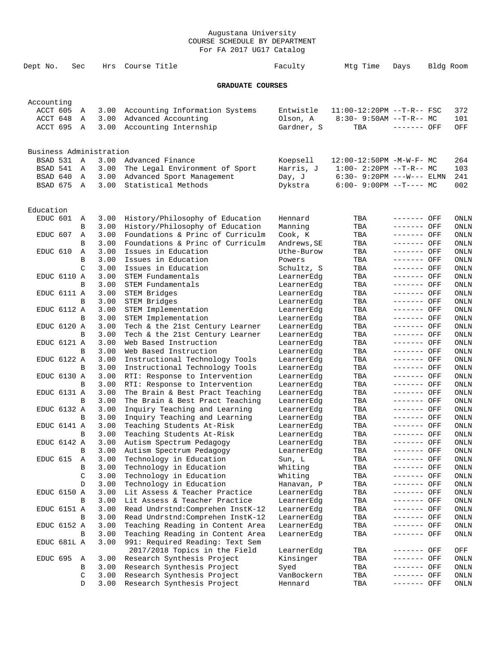| Dept No.   |                    | Sec          | Hrs                     | Course Title                                                    | Faculty                  | Mtg Time                     | Days                       | Bldg Room    |
|------------|--------------------|--------------|-------------------------|-----------------------------------------------------------------|--------------------------|------------------------------|----------------------------|--------------|
|            |                    |              |                         | <b>GRADUATE COURSES</b>                                         |                          |                              |                            |              |
| Accounting |                    |              |                         |                                                                 |                          |                              |                            |              |
| ACCT 605   |                    | Α            | 3.00                    | Accounting Information Systems                                  | Entwistle                | $11:00-12:20PM$ --T-R-- FSC  |                            | 372          |
| ACCT 648   |                    | Α            | 3.00                    | Advanced Accounting                                             | Olson, A                 | $8:30 - 9:50AM -T-R--MC$     |                            | 101          |
| ACCT 695   |                    | $\mathbb{A}$ | 3.00                    | Accounting Internship                                           | Gardner, S               | TBA                          | ------- OFF                | OFF          |
|            |                    |              |                         |                                                                 |                          |                              |                            |              |
|            |                    |              | Business Administration |                                                                 |                          |                              |                            |              |
| BSAD 531   |                    | A            | 3.00                    | Advanced Finance                                                | Koepsell                 | 12:00-12:50PM -M-W-F- MC     |                            | 264          |
| BSAD 541   |                    | Α            | 3.00                    | The Legal Environment of Sport                                  | Harris, J                | $1:00-2:20PM -T-R--MC$       |                            | 103          |
| BSAD 640   |                    | Α            | 3.00                    | Advanced Sport Management                                       | Day, J                   | $6:30 - 9:20PM$ ---W--- ELMN |                            | 241          |
| BSAD 675   |                    | A            | 3.00                    | Statistical Methods                                             | Dykstra                  | $6:00-9:00PM$ --T---- MC     |                            | 002          |
| Education  |                    |              |                         |                                                                 |                          |                              |                            |              |
| EDUC 601   |                    | Α            | 3.00                    | History/Philosophy of Education                                 | Hennard                  | TBA                          | ------- OFF                | ONLN         |
|            |                    | В            | 3.00                    | History/Philosophy of Education                                 | Manning                  | TBA                          | ------- OFF                | ONLN         |
| EDUC 607   |                    | Α            | 3.00                    | Foundations & Princ of Curriculm                                | Cook, K                  | TBA                          | ------- OFF                | ONLN         |
|            |                    | В            | 3.00                    | Foundations & Princ of Curriculm                                | Andrews, SE              | TBA                          | ------- OFF                | ONLN         |
| EDUC 610   |                    | Α            | 3.00                    | Issues in Education                                             | Uthe-Burow               | TBA                          | ------- OFF                | ONLN         |
|            |                    | B            | 3.00                    | Issues in Education                                             | Powers                   | TBA                          | ------- OFF                | ONLN         |
|            |                    | C            | 3.00                    | Issues in Education                                             | Schultz, S               | TBA                          | ------- OFF                | ONLN         |
|            | EDUC 6110 A        |              | 3.00                    | STEM Fundamentals                                               | LearnerEdg               | TBA                          | ------- OFF                | ONLN         |
|            |                    | В            | 3.00                    | STEM Fundamentals                                               | LearnerEdg               | TBA                          | ------- OFF                | ONLN         |
|            | EDUC 6111 A        |              | 3.00                    | STEM Bridges                                                    | LearnerEdg               | TBA                          | ------- OFF                | ONLN         |
|            |                    | B            | 3.00                    | STEM Bridges                                                    | LearnerEdg               | TBA                          | ------- OFF                | ONLN         |
|            | EDUC 6112 A        |              | 3.00                    | STEM Implementation                                             | LearnerEdg               | TBA                          | ------- OFF                | ONLN         |
|            |                    | B            | 3.00                    | STEM Implementation                                             | LearnerEdg               | TBA                          | ------- OFF                | ONLN         |
|            | <b>EDUC 6120 A</b> |              | 3.00                    | Tech & the 21st Century Learner                                 | LearnerEdg               | TBA                          | ------- OFF                | ONLN         |
|            |                    | B            | 3.00                    | Tech & the 21st Century Learner                                 | LearnerEdg               | TBA                          | ------- OFF                | ONLN         |
|            | EDUC 6121 A        |              | 3.00                    | Web Based Instruction                                           | LearnerEdg               | TBA                          | ------- OFF                | ONLN         |
|            |                    | B            | 3.00                    | Web Based Instruction                                           | LearnerEdg               | TBA                          | ------- OFF                | ONLN         |
|            | EDUC 6122 A        | B            | 3.00                    | Instructional Technology Tools                                  | LearnerEdg               | TBA                          | ------- OFF<br>------- OFF | ONLN         |
|            | EDUC 6130 A        |              | 3.00<br>3.00            | Instructional Technology Tools<br>RTI: Response to Intervention | LearnerEdg<br>LearnerEdg | TBA<br>TBA                   | ------- OFF                | ONLN<br>ONLN |
|            |                    | B            | 3.00                    | RTI: Response to Intervention                                   | LearnerEdg               | TBA                          | ------- OFF                | ONLN         |
|            | EDUC 6131 A        |              | 3.00                    | The Brain & Best Pract Teaching                                 | LearnerEdg               | TBA                          | ------- OFF                | ONLN         |
|            |                    | B            | 3.00                    | The Brain & Best Pract Teaching                                 | LearnerEdg               | TBA                          | ------- OFF                | <b>ONLN</b>  |
|            | EDUC 6132 A        |              | 3.00                    | Inquiry Teaching and Learning                                   | LearnerEdg               | TBA                          | ------- OFF                | ONLN         |
|            |                    | B            | 3.00                    | Inquiry Teaching and Learning                                   | LearnerEdg               | TBA                          | ------- OFF                | ONLN         |
|            | EDUC 6141 A        |              | 3.00                    | Teaching Students At-Risk                                       | LearnerEdg               | TBA                          | ------- OFF                | ONLN         |
|            |                    | В            | 3.00                    | Teaching Students At-Risk                                       | LearnerEdg               | TBA                          | ------- OFF                | ONLN         |
|            | EDUC 6142 A        |              | 3.00                    | Autism Spectrum Pedagogy                                        | LearnerEdg               | TBA                          | ------- OFF                | ONLN         |
|            |                    | В            | 3.00                    | Autism Spectrum Pedagogy                                        | LearnerEdg               | TBA                          | ------- OFF                | ONLN         |
| EDUC 615   |                    | Α            | 3.00                    | Technology in Education                                         | Sun, L                   | TBA                          | ------- OFF                | ONLN         |
|            |                    | В            | 3.00                    | Technology in Education                                         | Whiting                  | TBA                          | ------- OFF                | ONLN         |
|            |                    | C            | 3.00                    | Technology in Education                                         | Whiting                  | TBA                          | ------- OFF                | ONLN         |
|            |                    | D            | 3.00                    | Technology in Education                                         | Hanavan, P               | TBA                          | ------- OFF                | ONLN         |
|            | EDUC 6150 A        |              | 3.00                    | Lit Assess & Teacher Practice                                   | LearnerEdg               | TBA                          | ------- OFF                | ONLN         |
|            |                    | В            | 3.00                    | Lit Assess & Teacher Practice                                   | LearnerEdg               | TBA                          | ------- OFF                | ONLN         |
|            | EDUC 6151 A        |              | 3.00                    | Read Undrstnd: Comprehen InstK-12                               | LearnerEdg               | TBA                          | ------- OFF                | ONLN         |
|            |                    | B            | 3.00                    | Read Undrstnd: Comprehen InstK-12                               | LearnerEdg               | TBA                          | ------- OFF                | ONLN         |
|            | EDUC 6152 A        |              | 3.00                    | Teaching Reading in Content Area                                | LearnerEdg               | TBA                          | ------- OFF                | ONLN         |
|            |                    | В            | 3.00                    | Teaching Reading in Content Area                                | LearnerEdg               | TBA                          | ------- OFF                | ONLN         |
|            | EDUC 681L A        |              | 3.00                    | 991: Required Reading: Text Sem                                 |                          |                              |                            |              |
|            |                    |              |                         | 2017/2018 Topics in the Field                                   | LearnerEdg               | TBA                          | ------- OFF                | OFF          |
| EDUC 695   |                    | Α            | 3.00                    | Research Synthesis Project                                      | Kinsinger                | TBA                          | ------- OFF                | ONLN         |
|            |                    | В            | 3.00                    | Research Synthesis Project                                      | Syed                     | TBA                          | ------- OFF                | ONLN         |
|            |                    | C            | 3.00                    | Research Synthesis Project                                      | VanBockern               | TBA                          | ------- OFF                | ONLN         |
|            |                    | D            | 3.00                    | Research Synthesis Project                                      | Hennard                  | TBA                          | ------- OFF                | ONLN         |